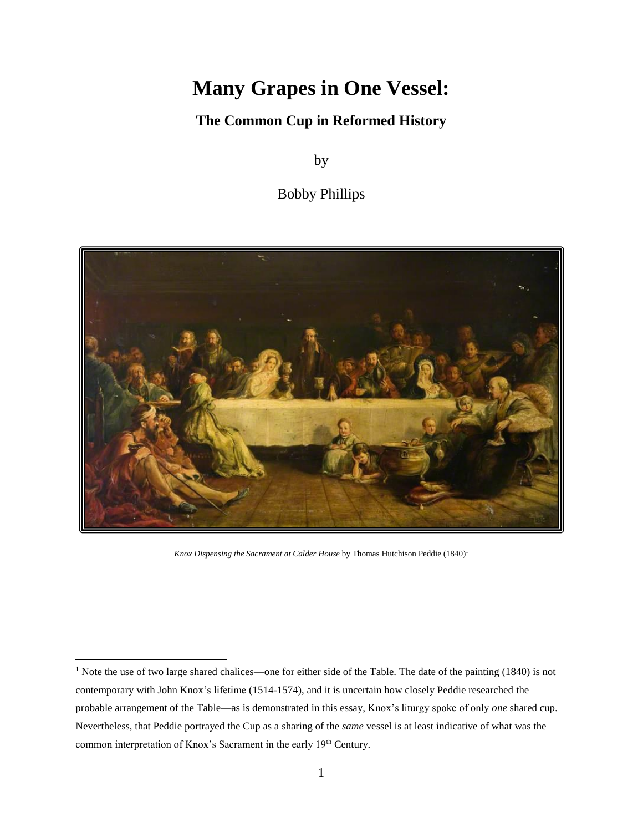# **Many Grapes in One Vessel:**

## **The Common Cup in Reformed History**

by

Bobby Phillips



*Knox Dispensing the Sacrament at Calder House* by Thomas Hutchison Peddie (1840)<sup>1</sup>

<sup>&</sup>lt;sup>1</sup> Note the use of two large shared chalices—one for either side of the Table. The date of the painting (1840) is not contemporary with John Knox's lifetime (1514-1574), and it is uncertain how closely Peddie researched the probable arrangement of the Table—as is demonstrated in this essay, Knox's liturgy spoke of only *one* shared cup. Nevertheless, that Peddie portrayed the Cup as a sharing of the *same* vessel is at least indicative of what was the common interpretation of Knox's Sacrament in the early 19<sup>th</sup> Century.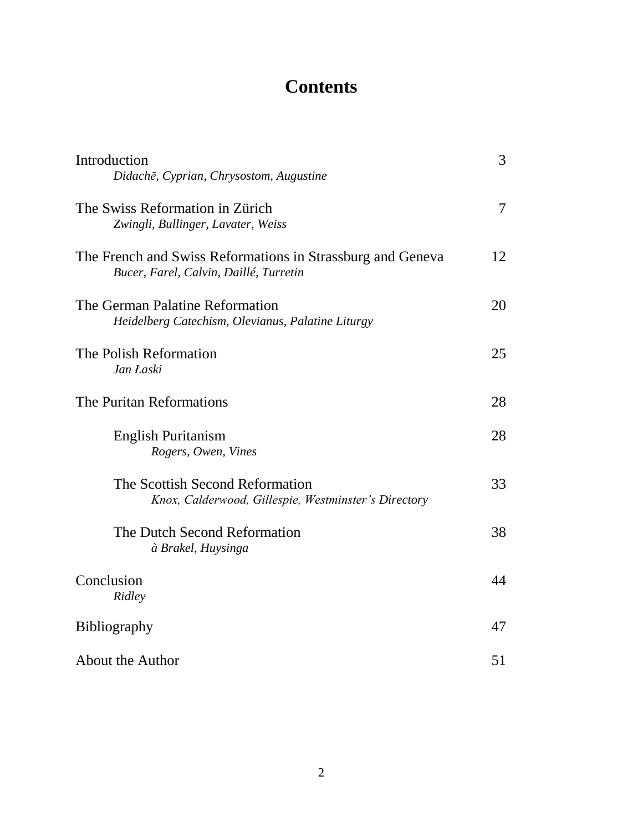# **Contents**

| Introduction<br>Didachē, Cyprian, Chrysostom, Augustine                                              | 3              |
|------------------------------------------------------------------------------------------------------|----------------|
| The Swiss Reformation in Zürich<br>Zwingli, Bullinger, Lavater, Weiss                                | $\overline{7}$ |
| The French and Swiss Reformations in Strassburg and Geneva<br>Bucer, Farel, Calvin, Daillé, Turretin | 12             |
| The German Palatine Reformation<br>Heidelberg Catechism, Olevianus, Palatine Liturgy                 | 20             |
| The Polish Reformation<br>Jan Łaski                                                                  | 25             |
| The Puritan Reformations                                                                             | 28             |
| English Puritanism<br>Rogers, Owen, Vines                                                            | 28             |
| The Scottish Second Reformation<br>Knox, Calderwood, Gillespie, Westminster's Directory              | 33             |
| The Dutch Second Reformation<br>à Brakel, Huysinga                                                   | 38             |
| Conclusion<br>Ridley                                                                                 | 44             |
| Bibliography                                                                                         | 47             |
| About the Author                                                                                     | 51             |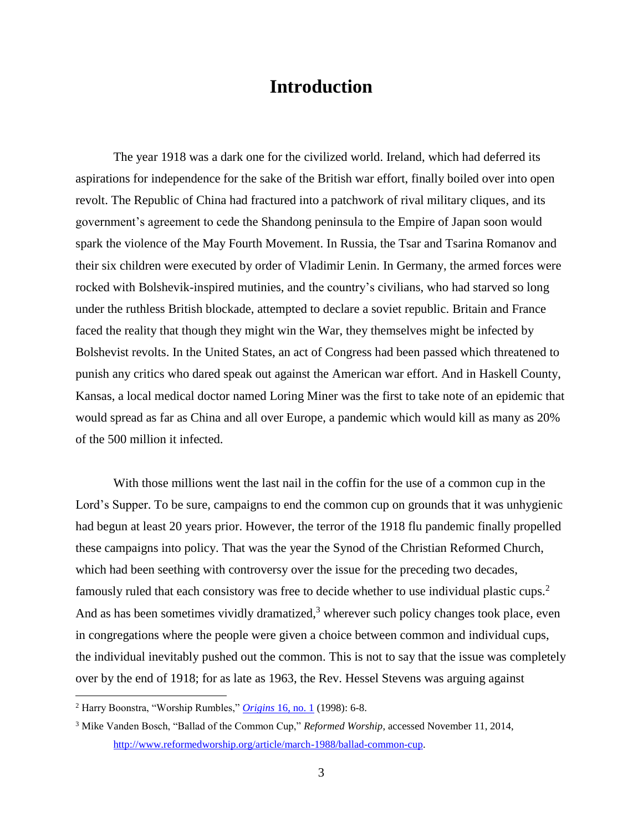# **Introduction**

The year 1918 was a dark one for the civilized world. Ireland, which had deferred its aspirations for independence for the sake of the British war effort, finally boiled over into open revolt. The Republic of China had fractured into a patchwork of rival military cliques, and its government's agreement to cede the Shandong peninsula to the Empire of Japan soon would spark the violence of the May Fourth Movement. In Russia, the Tsar and Tsarina Romanov and their six children were executed by order of Vladimir Lenin. In Germany, the armed forces were rocked with Bolshevik-inspired mutinies, and the country's civilians, who had starved so long under the ruthless British blockade, attempted to declare a soviet republic. Britain and France faced the reality that though they might win the War, they themselves might be infected by Bolshevist revolts. In the United States, an act of Congress had been passed which threatened to punish any critics who dared speak out against the American war effort. And in Haskell County, Kansas, a local medical doctor named Loring Miner was the first to take note of an epidemic that would spread as far as China and all over Europe, a pandemic which would kill as many as 20% of the 500 million it infected.

With those millions went the last nail in the coffin for the use of a common cup in the Lord's Supper. To be sure, campaigns to end the common cup on grounds that it was unhygienic had begun at least 20 years prior. However, the terror of the 1918 flu pandemic finally propelled these campaigns into policy. That was the year the Synod of the Christian Reformed Church, which had been seething with controversy over the issue for the preceding two decades, famously ruled that each consistory was free to decide whether to use individual plastic cups.<sup>2</sup> And as has been sometimes vividly dramatized, $3$  wherever such policy changes took place, even in congregations where the people were given a choice between common and individual cups, the individual inevitably pushed out the common. This is not to say that the issue was completely over by the end of 1918; for as late as 1963, the Rev. Hessel Stevens was arguing against

<sup>2</sup> Harry Boonstra, "Worship Rumbles," *Origins* [16, no. 1](http://www.calvin.edu/hh/origins/Spring98.pdf) (1998): 6-8.

<sup>3</sup> Mike Vanden Bosch, "Ballad of the Common Cup," *Reformed Worship*, accessed November 11, 2014, [http://www.reformedworship.org/article/march-1988/ballad-common-cup.](http://www.reformedworship.org/article/march-1988/ballad-common-cup)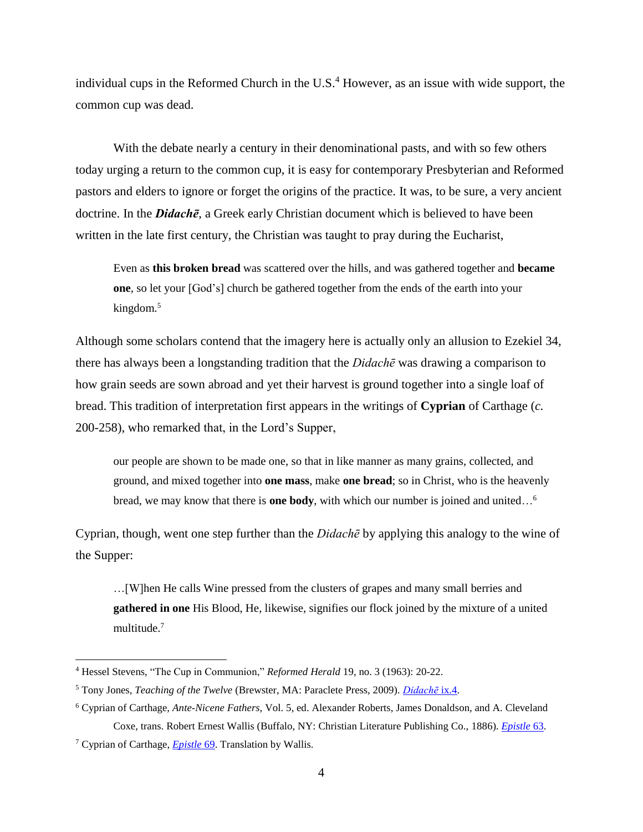individual cups in the Reformed Church in the U.S.<sup>4</sup> However, as an issue with wide support, the common cup was dead.

With the debate nearly a century in their denominational pasts, and with so few others today urging a return to the common cup, it is easy for contemporary Presbyterian and Reformed pastors and elders to ignore or forget the origins of the practice. It was, to be sure, a very ancient doctrine. In the *Didachē*, a Greek early Christian document which is believed to have been written in the late first century, the Christian was taught to pray during the Eucharist,

Even as **this broken bread** was scattered over the hills, and was gathered together and **became one**, so let your [God's] church be gathered together from the ends of the earth into your kingdom.<sup>5</sup>

Although some scholars contend that the imagery here is actually only an allusion to Ezekiel 34, there has always been a longstanding tradition that the *Didachē* was drawing a comparison to how grain seeds are sown abroad and yet their harvest is ground together into a single loaf of bread. This tradition of interpretation first appears in the writings of **Cyprian** of Carthage (*c.*  200-258), who remarked that, in the Lord's Supper,

our people are shown to be made one, so that in like manner as many grains, collected, and ground, and mixed together into **one mass**, make **one bread**; so in Christ, who is the heavenly bread, we may know that there is **one body**, with which our number is joined and united…<sup>6</sup>

Cyprian, though, went one step further than the *Didachē* by applying this analogy to the wine of the Supper:

…[W]hen He calls Wine pressed from the clusters of grapes and many small berries and **gathered in one** His Blood, He, likewise, signifies our flock joined by the mixture of a united multitude.<sup>7</sup>

<sup>4</sup> Hessel Stevens, "The Cup in Communion," *Reformed Herald* 19, no. 3 (1963): 20-22.

<sup>5</sup> Tony Jones, *Teaching of the Twelve* (Brewster, MA: Paraclete Press, 2009). *[Didachē](http://www.paracletepress.com/didache.html)* ix.4.

<sup>6</sup> Cyprian of Carthage, *Ante-Nicene Fathers*, Vol. 5, ed. Alexander Roberts, James Donaldson, and A. Cleveland Coxe, trans. Robert Ernest Wallis (Buffalo, NY: Christian Literature Publishing Co., 1886). *[Epistle](http://www.newadvent.org/fathers/050663.htm)* 63.

<sup>7</sup> Cyprian of Carthage, *[Epistle](http://www.newadvent.org/fathers/050669.htm)* 69. Translation by Wallis.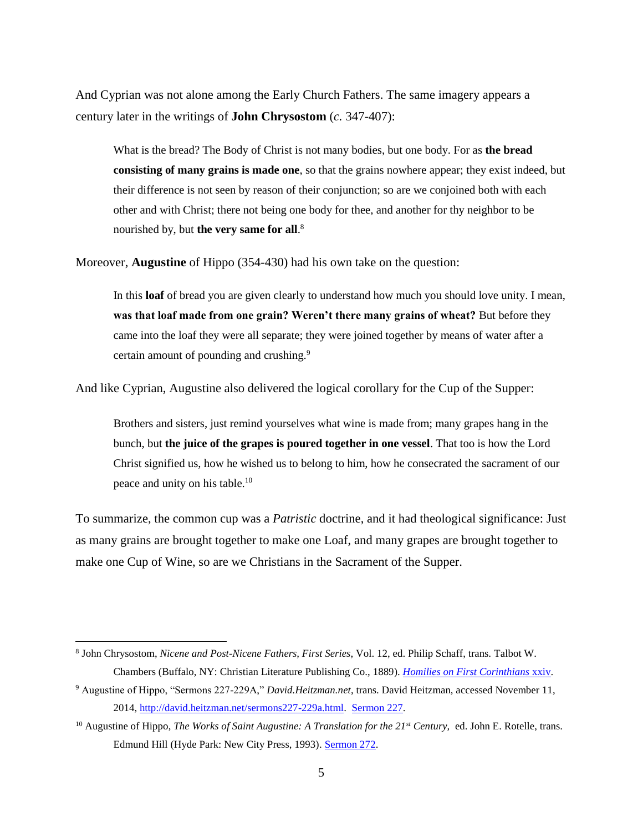And Cyprian was not alone among the Early Church Fathers. The same imagery appears a century later in the writings of **John Chrysostom** (*c.* 347-407):

What is the bread? The Body of Christ is not many bodies, but one body. For as **the bread consisting of many grains is made one**, so that the grains nowhere appear; they exist indeed, but their difference is not seen by reason of their conjunction; so are we conjoined both with each other and with Christ; there not being one body for thee, and another for thy neighbor to be nourished by, but **the very same for all**. 8

Moreover, **Augustine** of Hippo (354-430) had his own take on the question:

In this **loaf** of bread you are given clearly to understand how much you should love unity. I mean, **was that loaf made from one grain? Weren't there many grains of wheat?** But before they came into the loaf they were all separate; they were joined together by means of water after a certain amount of pounding and crushing.<sup>9</sup>

And like Cyprian, Augustine also delivered the logical corollary for the Cup of the Supper:

Brothers and sisters, just remind yourselves what wine is made from; many grapes hang in the bunch, but **the juice of the grapes is poured together in one vessel**. That too is how the Lord Christ signified us, how he wished us to belong to him, how he consecrated the sacrament of our peace and unity on his table.<sup>10</sup>

To summarize, the common cup was a *Patristic* doctrine, and it had theological significance: Just as many grains are brought together to make one Loaf, and many grapes are brought together to make one Cup of Wine, so are we Christians in the Sacrament of the Supper.

<sup>8</sup> John Chrysostom, *Nicene and Post-Nicene Fathers, First Series*, Vol. 12, ed. Philip Schaff, trans. Talbot W. Chambers (Buffalo, NY: Christian Literature Publishing Co., 1889). *[Homilies on First Corinthians](http://www.newadvent.org/fathers/220124.htm)* xxiv.

<sup>9</sup> Augustine of Hippo, "Sermons 227-229A," *David.Heitzman.net*, trans. David Heitzman, accessed November 11, 2014, [http://david.heitzman.net/sermons227-229a.html.](http://david.heitzman.net/sermons227-229a.html) [Sermon 227.](http://david.heitzman.net/sermons227-229a.html)

<sup>10</sup> Augustine of Hippo, *The Works of Saint Augustine: A Translation for the 21st Century,* ed. John E. Rotelle, trans. Edmund Hill (Hyde Park: New City Press, 1993). [Sermon](http://www.americancatholictruthsociety.com/docs/augustine/sermon272.htm) 272.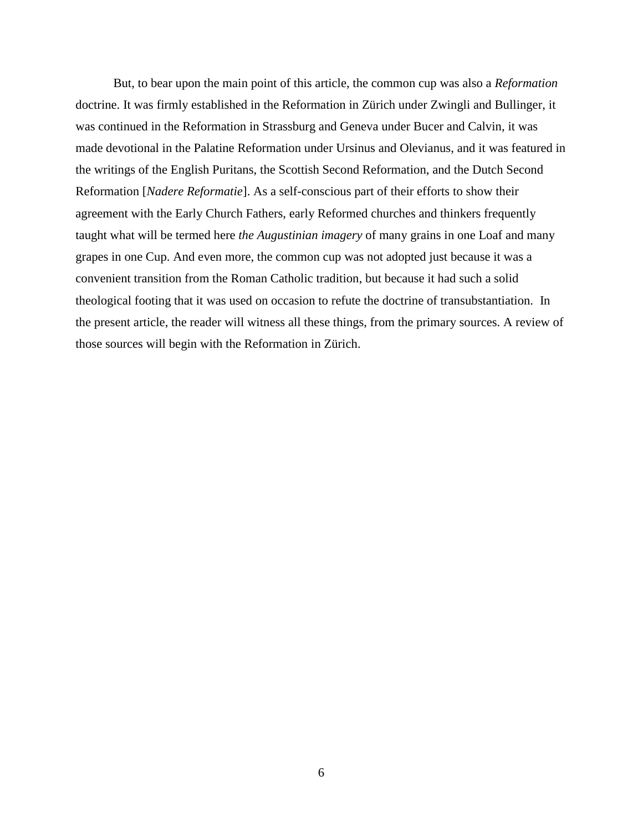But, to bear upon the main point of this article, the common cup was also a *Reformation* doctrine. It was firmly established in the Reformation in Zürich under Zwingli and Bullinger, it was continued in the Reformation in Strassburg and Geneva under Bucer and Calvin, it was made devotional in the Palatine Reformation under Ursinus and Olevianus, and it was featured in the writings of the English Puritans, the Scottish Second Reformation, and the Dutch Second Reformation [*Nadere Reformatie*]. As a self-conscious part of their efforts to show their agreement with the Early Church Fathers, early Reformed churches and thinkers frequently taught what will be termed here *the Augustinian imagery* of many grains in one Loaf and many grapes in one Cup. And even more, the common cup was not adopted just because it was a convenient transition from the Roman Catholic tradition, but because it had such a solid theological footing that it was used on occasion to refute the doctrine of transubstantiation. In the present article, the reader will witness all these things, from the primary sources. A review of those sources will begin with the Reformation in Zürich.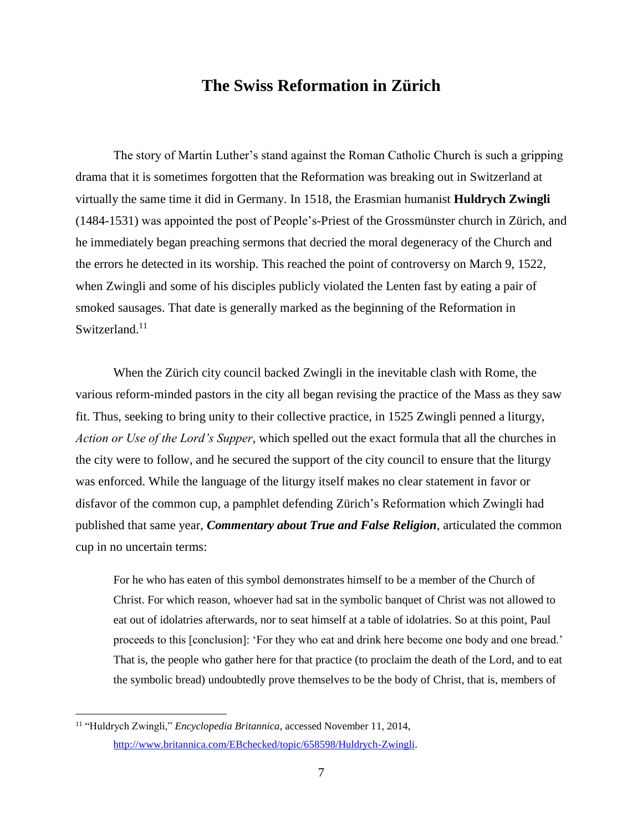### **The Swiss Reformation in Zürich**

The story of Martin Luther's stand against the Roman Catholic Church is such a gripping drama that it is sometimes forgotten that the Reformation was breaking out in Switzerland at virtually the same time it did in Germany. In 1518, the Erasmian humanist **Huldrych Zwingli** (1484-1531) was appointed the post of People's-Priest of the Grossmünster church in Zürich, and he immediately began preaching sermons that decried the moral degeneracy of the Church and the errors he detected in its worship. This reached the point of controversy on March 9, 1522, when Zwingli and some of his disciples publicly violated the Lenten fast by eating a pair of smoked sausages. That date is generally marked as the beginning of the Reformation in Switzerland.<sup>11</sup>

When the Zürich city council backed Zwingli in the inevitable clash with Rome, the various reform-minded pastors in the city all began revising the practice of the Mass as they saw fit. Thus, seeking to bring unity to their collective practice, in 1525 Zwingli penned a liturgy, *Action or Use of the Lord's Supper*, which spelled out the exact formula that all the churches in the city were to follow, and he secured the support of the city council to ensure that the liturgy was enforced. While the language of the liturgy itself makes no clear statement in favor or disfavor of the common cup, a pamphlet defending Zürich's Reformation which Zwingli had published that same year, *Commentary about True and False Religion*, articulated the common cup in no uncertain terms:

For he who has eaten of this symbol demonstrates himself to be a member of the Church of Christ. For which reason, whoever had sat in the symbolic banquet of Christ was not allowed to eat out of idolatries afterwards, nor to seat himself at a table of idolatries. So at this point, Paul proceeds to this [conclusion]: 'For they who eat and drink here become one body and one bread.' That is, the people who gather here for that practice (to proclaim the death of the Lord, and to eat the symbolic bread) undoubtedly prove themselves to be the body of Christ, that is, members of

<sup>11</sup> "Huldrych Zwingli," *Encyclopedia Britannica*, accessed November 11, 2014, [http://www.britannica.com/EBchecked/topic/658598/Huldrych-Zwingli.](http://www.britannica.com/EBchecked/topic/658598/Huldrych-Zwingli)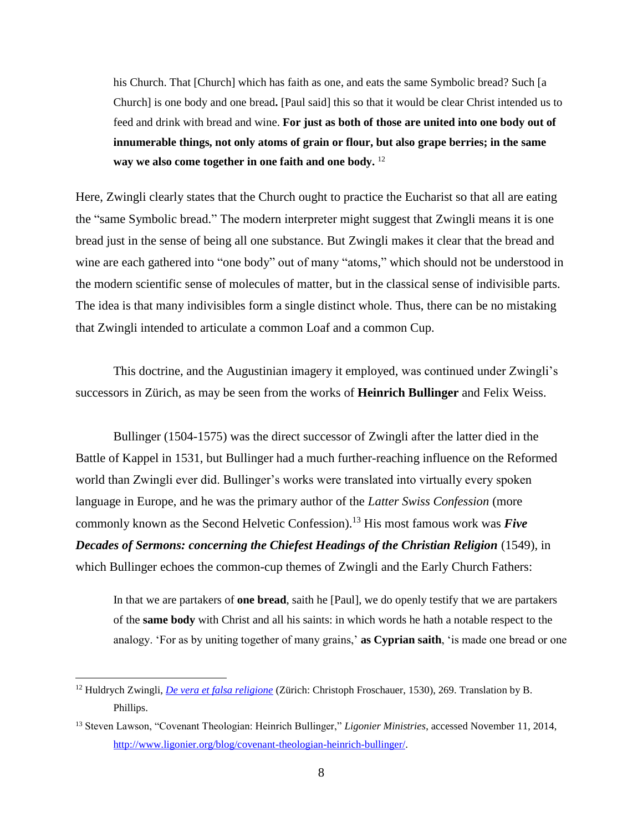his Church. That [Church] which has faith as one, and eats the same Symbolic bread? Such [a Church] is one body and one bread**.** [Paul said] this so that it would be clear Christ intended us to feed and drink with bread and wine. **For just as both of those are united into one body out of innumerable things, not only atoms of grain or flour, but also grape berries; in the same way we also come together in one faith and one body.** <sup>12</sup>

Here, Zwingli clearly states that the Church ought to practice the Eucharist so that all are eating the "same Symbolic bread." The modern interpreter might suggest that Zwingli means it is one bread just in the sense of being all one substance. But Zwingli makes it clear that the bread and wine are each gathered into "one body" out of many "atoms," which should not be understood in the modern scientific sense of molecules of matter, but in the classical sense of indivisible parts. The idea is that many indivisibles form a single distinct whole. Thus, there can be no mistaking that Zwingli intended to articulate a common Loaf and a common Cup.

This doctrine, and the Augustinian imagery it employed, was continued under Zwingli's successors in Zürich, as may be seen from the works of **Heinrich Bullinger** and Felix Weiss.

Bullinger (1504-1575) was the direct successor of Zwingli after the latter died in the Battle of Kappel in 1531, but Bullinger had a much further-reaching influence on the Reformed world than Zwingli ever did. Bullinger's works were translated into virtually every spoken language in Europe, and he was the primary author of the *Latter Swiss Confession* (more commonly known as the Second Helvetic Confession).<sup>13</sup> His most famous work was *Five Decades of Sermons: concerning the Chiefest Headings of the Christian Religion* (1549), in which Bullinger echoes the common-cup themes of Zwingli and the Early Church Fathers:

In that we are partakers of **one bread**, saith he [Paul], we do openly testify that we are partakers of the **same body** with Christ and all his saints: in which words he hath a notable respect to the analogy. 'For as by uniting together of many grains,' **as Cyprian saith**, 'is made one bread or one

<sup>12</sup> Huldrych Zwingli, *[De vera et falsa religione](http://www.e-rara.ch/zuz/content/titleinfo/46307)* (Zürich: Christoph Froschauer, 1530), 269. Translation by B. Phillips.

<sup>13</sup> Steven Lawson, "Covenant Theologian: Heinrich Bullinger," *Ligonier Ministries*, accessed November 11, 2014, [http://www.ligonier.org/blog/covenant-theologian-heinrich-bullinger/.](http://www.ligonier.org/blog/covenant-theologian-heinrich-bullinger/)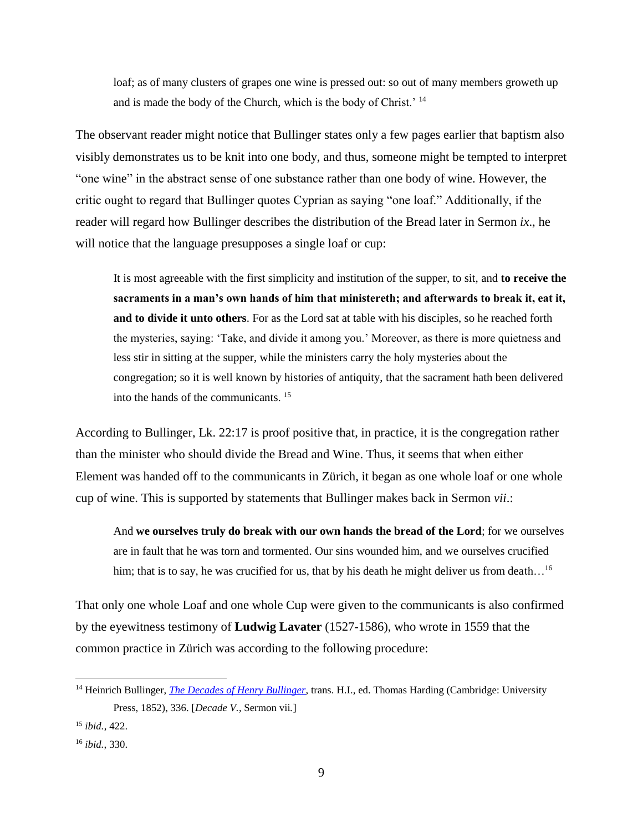loaf; as of many clusters of grapes one wine is pressed out: so out of many members groweth up and is made the body of the Church, which is the body of Christ.' <sup>14</sup>

The observant reader might notice that Bullinger states only a few pages earlier that baptism also visibly demonstrates us to be knit into one body, and thus, someone might be tempted to interpret "one wine" in the abstract sense of one substance rather than one body of wine. However, the critic ought to regard that Bullinger quotes Cyprian as saying "one loaf." Additionally, if the reader will regard how Bullinger describes the distribution of the Bread later in Sermon *ix*., he will notice that the language presupposes a single loaf or cup:

It is most agreeable with the first simplicity and institution of the supper, to sit, and **to receive the sacraments in a man's own hands of him that ministereth; and afterwards to break it, eat it, and to divide it unto others**. For as the Lord sat at table with his disciples, so he reached forth the mysteries, saying: 'Take, and divide it among you.' Moreover, as there is more quietness and less stir in sitting at the supper, while the ministers carry the holy mysteries about the congregation; so it is well known by histories of antiquity, that the sacrament hath been delivered into the hands of the communicants. <sup>15</sup>

According to Bullinger, Lk. 22:17 is proof positive that, in practice, it is the congregation rather than the minister who should divide the Bread and Wine. Thus, it seems that when either Element was handed off to the communicants in Zürich, it began as one whole loaf or one whole cup of wine. This is supported by statements that Bullinger makes back in Sermon *vii*.:

And **we ourselves truly do break with our own hands the bread of the Lord**; for we ourselves are in fault that he was torn and tormented. Our sins wounded him, and we ourselves crucified him; that is to say, he was crucified for us, that by his death he might deliver us from death...<sup>16</sup>

That only one whole Loaf and one whole Cup were given to the communicants is also confirmed by the eyewitness testimony of **Ludwig Lavater** (1527-1586), who wrote in 1559 that the common practice in Zürich was according to the following procedure:

<sup>14</sup> Heinrich Bullinger, *[The Decades of Henry Bullinger](http://books.google.com/books?id=MP4QAAAAIAAJ&oe=UTF-8)*, trans. H.I., ed. Thomas Harding (Cambridge: University Press, 1852), 336. [*Decade V.*, Sermon vii*.*]

<sup>15</sup> *ibid.*, 422.

<sup>16</sup> *ibid.,* 330.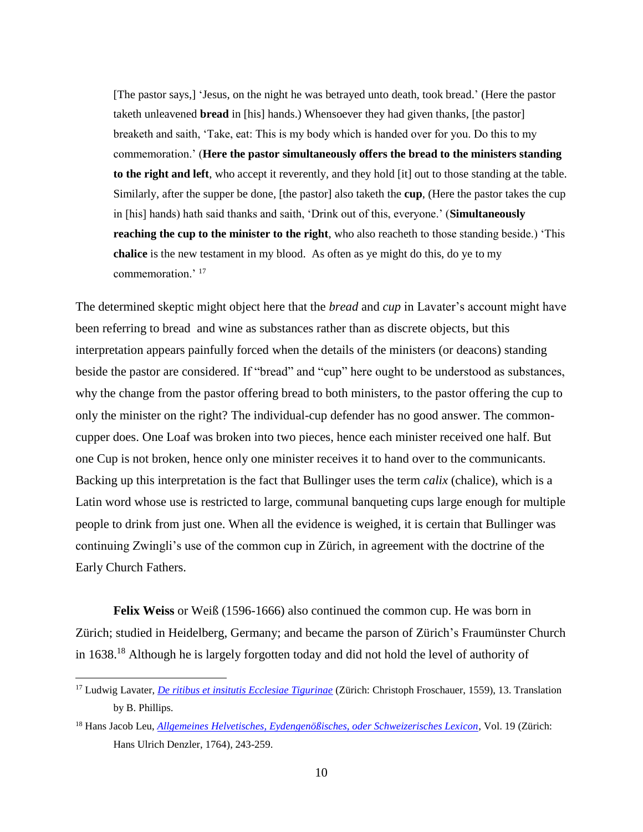[The pastor says,] 'Jesus, on the night he was betrayed unto death, took bread.' (Here the pastor taketh unleavened **bread** in [his] hands.) Whensoever they had given thanks, [the pastor] breaketh and saith, 'Take, eat: This is my body which is handed over for you. Do this to my commemoration.' (**Here the pastor simultaneously offers the bread to the ministers standing to the right and left**, who accept it reverently, and they hold [it] out to those standing at the table. Similarly, after the supper be done, [the pastor] also taketh the **cup**, (Here the pastor takes the cup in [his] hands) hath said thanks and saith, 'Drink out of this, everyone.' (**Simultaneously reaching the cup to the minister to the right**, who also reacheth to those standing beside.) 'This **chalice** is the new testament in my blood. As often as ye might do this, do ye to my commemoration.' <sup>17</sup>

The determined skeptic might object here that the *bread* and *cup* in Lavater's account might have been referring to bread and wine as substances rather than as discrete objects, but this interpretation appears painfully forced when the details of the ministers (or deacons) standing beside the pastor are considered. If "bread" and "cup" here ought to be understood as substances, why the change from the pastor offering bread to both ministers, to the pastor offering the cup to only the minister on the right? The individual-cup defender has no good answer. The commoncupper does. One Loaf was broken into two pieces, hence each minister received one half. But one Cup is not broken, hence only one minister receives it to hand over to the communicants. Backing up this interpretation is the fact that Bullinger uses the term *calix* (chalice), which is a Latin word whose use is restricted to large, communal banqueting cups large enough for multiple people to drink from just one. When all the evidence is weighed, it is certain that Bullinger was continuing Zwingli's use of the common cup in Zürich, in agreement with the doctrine of the Early Church Fathers.

**Felix Weiss** or Weiß (1596-1666) also continued the common cup. He was born in Zürich; studied in Heidelberg, Germany; and became the parson of Zürich's Fraumünster Church in 1638. <sup>18</sup> Although he is largely forgotten today and did not hold the level of authority of

<sup>17</sup> Ludwig Lavater, *[De ritibus et insitutis Ecclesiae Tigurinae](http://books.google.com/books?id=YNxNAAAAcAAJ&printsec=frontcover#v=onepage&q&f=false)* (Zürich: Christoph Froschauer, 1559), 13. Translation by B. Phillips.

<sup>18</sup> Hans Jacob Leu, *[Allgemeines Helvetisches, Eydengenößisches, oder Schweizerisches Lexicon](http://books.google.com/books?id=TFJBAAAAcAAJ&pg=PA245#v=onepage&q&f=false)*, Vol. 19 (Zürich: Hans Ulrich Denzler, 1764), 243-259.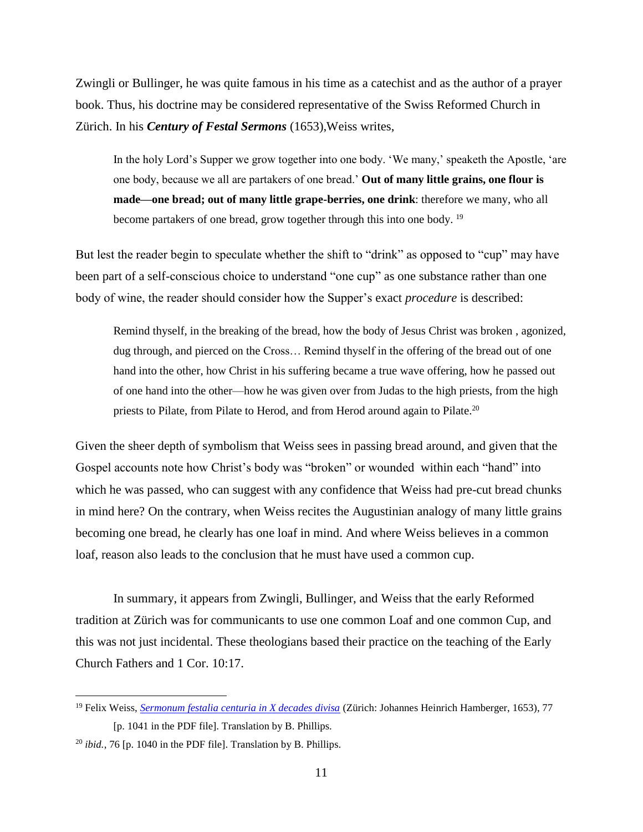Zwingli or Bullinger, he was quite famous in his time as a catechist and as the author of a prayer book. Thus, his doctrine may be considered representative of the Swiss Reformed Church in Zürich. In his *Century of Festal Sermons* (1653),Weiss writes,

In the holy Lord's Supper we grow together into one body. 'We many,' speaketh the Apostle, 'are one body, because we all are partakers of one bread.' **Out of many little grains, one flour is made—one bread; out of many little grape-berries, one drink**: therefore we many, who all become partakers of one bread, grow together through this into one body. <sup>19</sup>

But lest the reader begin to speculate whether the shift to "drink" as opposed to "cup" may have been part of a self-conscious choice to understand "one cup" as one substance rather than one body of wine, the reader should consider how the Supper's exact *procedure* is described:

Remind thyself, in the breaking of the bread, how the body of Jesus Christ was broken , agonized, dug through, and pierced on the Cross… Remind thyself in the offering of the bread out of one hand into the other, how Christ in his suffering became a true wave offering, how he passed out of one hand into the other—how he was given over from Judas to the high priests, from the high priests to Pilate, from Pilate to Herod, and from Herod around again to Pilate.<sup>20</sup>

Given the sheer depth of symbolism that Weiss sees in passing bread around, and given that the Gospel accounts note how Christ's body was "broken" or wounded within each "hand" into which he was passed, who can suggest with any confidence that Weiss had pre-cut bread chunks in mind here? On the contrary, when Weiss recites the Augustinian analogy of many little grains becoming one bread, he clearly has one loaf in mind. And where Weiss believes in a common loaf, reason also leads to the conclusion that he must have used a common cup.

In summary, it appears from Zwingli, Bullinger, and Weiss that the early Reformed tradition at Zürich was for communicants to use one common Loaf and one common Cup, and this was not just incidental. These theologians based their practice on the teaching of the Early Church Fathers and 1 Cor. 10:17.

<sup>19</sup> Felix Weiss, *[Sermonum festalia centuria in X decades divisa](http://www.e-rara.ch/zuz/content/titleinfo/3746601)* (Zürich: Johannes Heinrich Hamberger, 1653), 77 [p. 1041 in the PDF file]. Translation by B. Phillips.

<sup>&</sup>lt;sup>20</sup> *ibid.*, 76 [p. 1040 in the PDF file]. Translation by B. Phillips.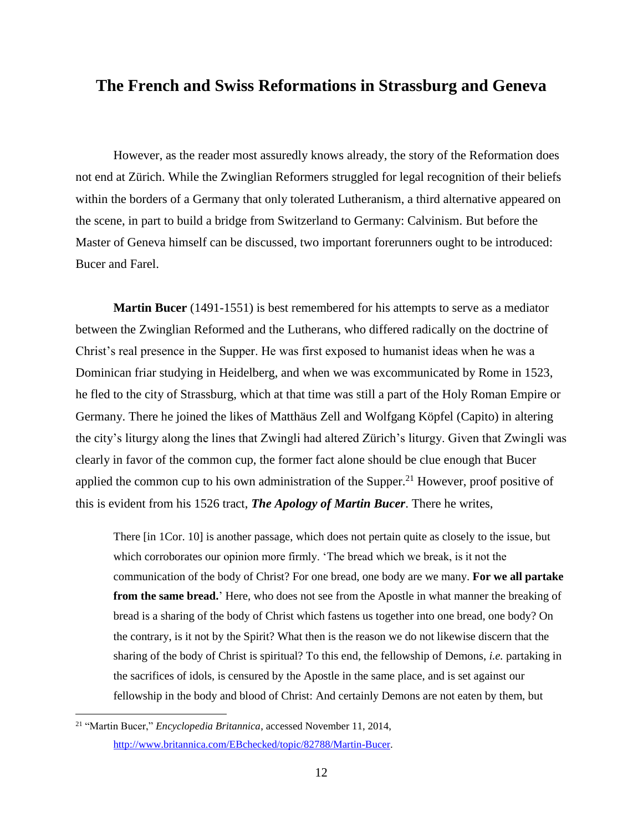#### **The French and Swiss Reformations in Strassburg and Geneva**

However, as the reader most assuredly knows already, the story of the Reformation does not end at Zürich. While the Zwinglian Reformers struggled for legal recognition of their beliefs within the borders of a Germany that only tolerated Lutheranism, a third alternative appeared on the scene, in part to build a bridge from Switzerland to Germany: Calvinism. But before the Master of Geneva himself can be discussed, two important forerunners ought to be introduced: Bucer and Farel.

**Martin Bucer** (1491-1551) is best remembered for his attempts to serve as a mediator between the Zwinglian Reformed and the Lutherans, who differed radically on the doctrine of Christ's real presence in the Supper. He was first exposed to humanist ideas when he was a Dominican friar studying in Heidelberg, and when we was excommunicated by Rome in 1523, he fled to the city of Strassburg, which at that time was still a part of the Holy Roman Empire or Germany. There he joined the likes of Matthäus Zell and Wolfgang Köpfel (Capito) in altering the city's liturgy along the lines that Zwingli had altered Zürich's liturgy. Given that Zwingli was clearly in favor of the common cup, the former fact alone should be clue enough that Bucer applied the common cup to his own administration of the Supper.<sup>21</sup> However, proof positive of this is evident from his 1526 tract, *The Apology of Martin Bucer*. There he writes,

There [in 1Cor. 10] is another passage, which does not pertain quite as closely to the issue, but which corroborates our opinion more firmly. 'The bread which we break, is it not the communication of the body of Christ? For one bread, one body are we many. **For we all partake from the same bread.**' Here, who does not see from the Apostle in what manner the breaking of bread is a sharing of the body of Christ which fastens us together into one bread, one body? On the contrary, is it not by the Spirit? What then is the reason we do not likewise discern that the sharing of the body of Christ is spiritual? To this end, the fellowship of Demons, *i.e.* partaking in the sacrifices of idols, is censured by the Apostle in the same place, and is set against our fellowship in the body and blood of Christ: And certainly Demons are not eaten by them, but

<sup>21</sup> "Martin Bucer," *Encyclopedia Britannica*, accessed November 11, 2014, [http://www.britannica.com/EBchecked/topic/82788/Martin-Bucer.](http://www.britannica.com/EBchecked/topic/82788/Martin-Bucer)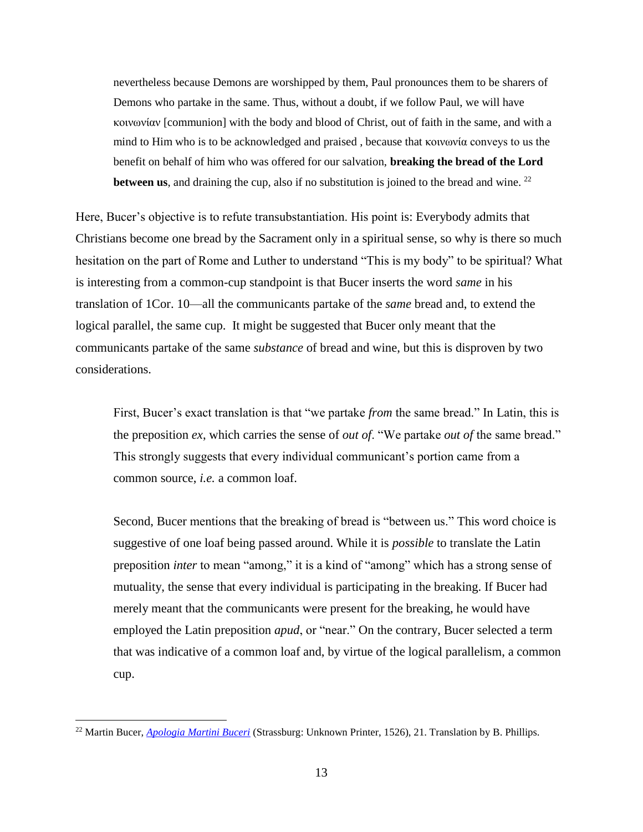nevertheless because Demons are worshipped by them, Paul pronounces them to be sharers of Demons who partake in the same. Thus, without a doubt, if we follow Paul, we will have κοινωνίαν [communion] with the body and blood of Christ, out of faith in the same, and with a mind to Him who is to be acknowledged and praised , because that κοινωνία conveys to us the benefit on behalf of him who was offered for our salvation, **breaking the bread of the Lord between us**, and draining the cup, also if no substitution is joined to the bread and wine.  $^{22}$ 

Here, Bucer's objective is to refute transubstantiation. His point is: Everybody admits that Christians become one bread by the Sacrament only in a spiritual sense, so why is there so much hesitation on the part of Rome and Luther to understand "This is my body" to be spiritual? What is interesting from a common-cup standpoint is that Bucer inserts the word *same* in his translation of 1Cor. 10—all the communicants partake of the *same* bread and, to extend the logical parallel, the same cup. It might be suggested that Bucer only meant that the communicants partake of the same *substance* of bread and wine, but this is disproven by two considerations.

First, Bucer's exact translation is that "we partake *from* the same bread." In Latin, this is the preposition *ex*, which carries the sense of *out of*. "We partake *out of* the same bread." This strongly suggests that every individual communicant's portion came from a common source, *i.e.* a common loaf.

Second, Bucer mentions that the breaking of bread is "between us." This word choice is suggestive of one loaf being passed around. While it is *possible* to translate the Latin preposition *inter* to mean "among," it is a kind of "among" which has a strong sense of mutuality, the sense that every individual is participating in the breaking. If Bucer had merely meant that the communicants were present for the breaking, he would have employed the Latin preposition *apud*, or "near." On the contrary, Bucer selected a term that was indicative of a common loaf and, by virtue of the logical parallelism, a common cup.

<sup>22</sup> Martin Bucer, *[Apologia Martini Buceri](http://daten.digitale-sammlungen.de/0002/bsb00027676/images/index.html?fip=193.174.98.30&id=00027676&seite=1)* (Strassburg: Unknown Printer, 1526), 21. Translation by B. Phillips.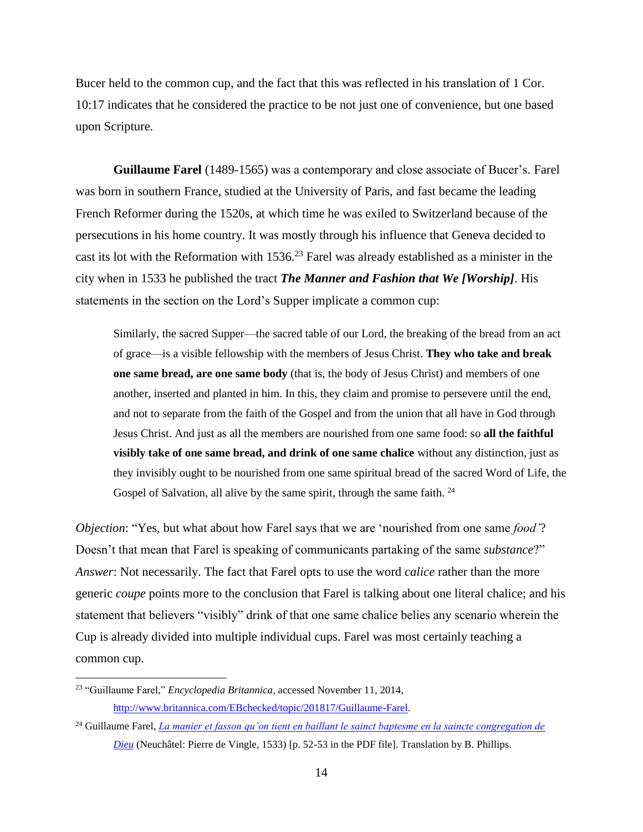Bucer held to the common cup, and the fact that this was reflected in his translation of 1 Cor. 10:17 indicates that he considered the practice to be not just one of convenience, but one based upon Scripture.

**Guillaume Farel** (1489-1565) was a contemporary and close associate of Bucer's. Farel was born in southern France, studied at the University of Paris, and fast became the leading French Reformer during the 1520s, at which time he was exiled to Switzerland because of the persecutions in his home country. It was mostly through his influence that Geneva decided to cast its lot with the Reformation with  $1536<sup>23</sup>$  Farel was already established as a minister in the city when in 1533 he published the tract *The Manner and Fashion that We [Worship]*. His statements in the section on the Lord's Supper implicate a common cup:

Similarly, the sacred Supper—the sacred table of our Lord, the breaking of the bread from an act of grace—is a visible fellowship with the members of Jesus Christ. **They who take and break one same bread, are one same body** (that is, the body of Jesus Christ) and members of one another, inserted and planted in him. In this, they claim and promise to persevere until the end, and not to separate from the faith of the Gospel and from the union that all have in God through Jesus Christ. And just as all the members are nourished from one same food: so **all the faithful visibly take of one same bread, and drink of one same chalice** without any distinction, just as they invisibly ought to be nourished from one same spiritual bread of the sacred Word of Life, the Gospel of Salvation, all alive by the same spirit, through the same faith. <sup>24</sup>

*Objection*: "Yes, but what about how Farel says that we are 'nourished from one same *food'*? Doesn't that mean that Farel is speaking of communicants partaking of the same *substance*?" *Answer*: Not necessarily. The fact that Farel opts to use the word *calice* rather than the more generic *coupe* points more to the conclusion that Farel is talking about one literal chalice; and his statement that believers "visibly" drink of that one same chalice belies any scenario wherein the Cup is already divided into multiple individual cups. Farel was most certainly teaching a common cup.

<sup>23</sup> "Guillaume Farel," *Encyclopedia Britannica*, accessed November 11, 2014, [http://www.britannica.com/EBchecked/topic/201817/Guillaume-Farel.](http://www.britannica.com/EBchecked/topic/201817/Guillaume-Farel)

<sup>24</sup> Guillaume Farel, *[La manier et fasson qu'on tient en baillant le sainct baptesme en la saincte congregation de](http://www.e-rara.ch/zuz/content/titleinfo/1751693)  [Dieu](http://www.e-rara.ch/zuz/content/titleinfo/1751693)* (Neuchâtel: Pierre de Vingle, 1533) [p. 52-53 in the PDF file]. Translation by B. Phillips.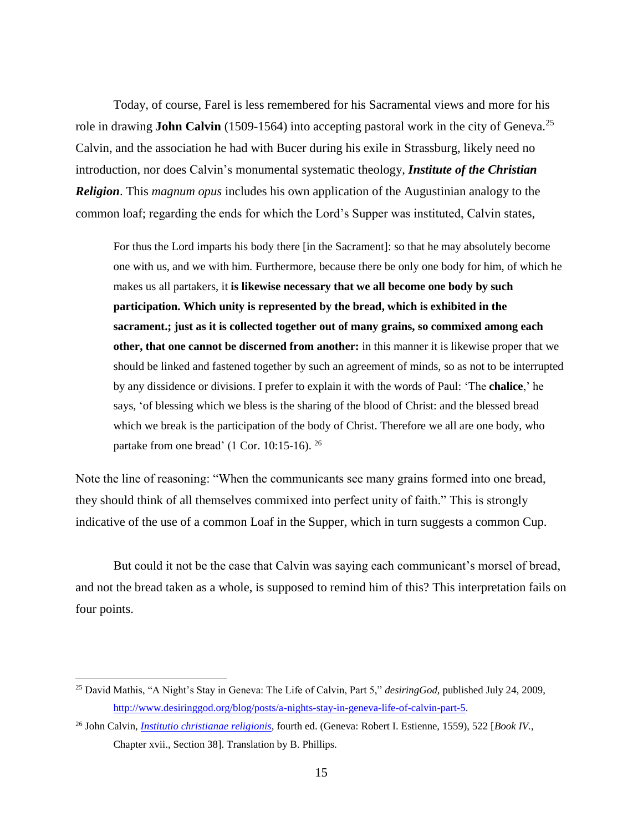Today, of course, Farel is less remembered for his Sacramental views and more for his role in drawing **John Calvin** (1509-1564) into accepting pastoral work in the city of Geneva. 25 Calvin, and the association he had with Bucer during his exile in Strassburg, likely need no introduction, nor does Calvin's monumental systematic theology, *Institute of the Christian Religion*. This *magnum opus* includes his own application of the Augustinian analogy to the common loaf; regarding the ends for which the Lord's Supper was instituted, Calvin states,

For thus the Lord imparts his body there [in the Sacrament]: so that he may absolutely become one with us, and we with him. Furthermore, because there be only one body for him, of which he makes us all partakers, it **is likewise necessary that we all become one body by such participation. Which unity is represented by the bread, which is exhibited in the sacrament.; just as it is collected together out of many grains, so commixed among each other, that one cannot be discerned from another:** in this manner it is likewise proper that we should be linked and fastened together by such an agreement of minds, so as not to be interrupted by any dissidence or divisions. I prefer to explain it with the words of Paul: 'The **chalice**,' he says, 'of blessing which we bless is the sharing of the blood of Christ: and the blessed bread which we break is the participation of the body of Christ. Therefore we all are one body, who partake from one bread' (1 Cor. 10:15-16). <sup>26</sup>

Note the line of reasoning: "When the communicants see many grains formed into one bread, they should think of all themselves commixed into perfect unity of faith." This is strongly indicative of the use of a common Loaf in the Supper, which in turn suggests a common Cup.

But could it not be the case that Calvin was saying each communicant's morsel of bread, and not the bread taken as a whole, is supposed to remind him of this? This interpretation fails on four points.

<sup>25</sup> David Mathis, "A Night's Stay in Geneva: The Life of Calvin, Part 5," *desiringGod,* published July 24, 2009, [http://www.desiringgod.org/blog/posts/a-nights-stay-in-geneva-life-of-calvin-part-5.](http://www.desiringgod.org/blog/posts/a-nights-stay-in-geneva-life-of-calvin-part-5)

<sup>26</sup> John Calvin, *[Institutio christianae religionis,](http://www.e-rara.ch/zuz/content/titleinfo/859317)* fourth ed. (Geneva: Robert I. Estienne, 1559), 522 [*Book IV.*, Chapter xvii., Section 38]. Translation by B. Phillips.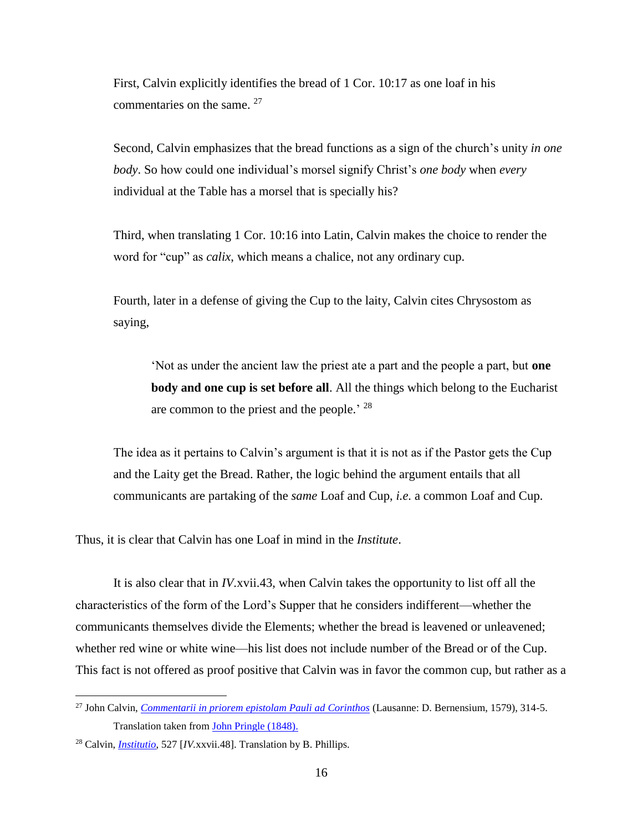First, Calvin explicitly identifies the bread of 1 Cor. 10:17 as one loaf in his commentaries on the same.  $27$ 

Second, Calvin emphasizes that the bread functions as a sign of the church's unity *in one body*. So how could one individual's morsel signify Christ's *one body* when *every* individual at the Table has a morsel that is specially his?

Third, when translating 1 Cor. 10:16 into Latin, Calvin makes the choice to render the word for "cup" as *calix*, which means a chalice, not any ordinary cup.

Fourth, later in a defense of giving the Cup to the laity, Calvin cites Chrysostom as saying,

'Not as under the ancient law the priest ate a part and the people a part, but **one body and one cup is set before all**. All the things which belong to the Eucharist are common to the priest and the people.<sup> $28$ </sup>

The idea as it pertains to Calvin's argument is that it is not as if the Pastor gets the Cup and the Laity get the Bread. Rather, the logic behind the argument entails that all communicants are partaking of the *same* Loaf and Cup, *i.e.* a common Loaf and Cup.

Thus, it is clear that Calvin has one Loaf in mind in the *Institute*.

It is also clear that in *IV*.xvii.43, when Calvin takes the opportunity to list off all the characteristics of the form of the Lord's Supper that he considers indifferent—whether the communicants themselves divide the Elements; whether the bread is leavened or unleavened; whether red wine or white wine—his list does not include number of the Bread or of the Cup. This fact is not offered as proof positive that Calvin was in favor the common cup, but rather as a

<sup>27</sup> John Calvin, *[Commentarii in priorem epistolam Pauli ad Corinthos](http://www.e-rara.ch/lac1_g/content/titleinfo/2833099)* (Lausanne: D. Bernensium, 1579), 314-5. Translation taken from [John Pringle \(1848\).](http://www.ccel.org/ccel/calvin/calcom39.xvii.iii.html)

<sup>28</sup> Calvin, *[Institutio](http://www.e-rara.ch/zuz/content/titleinfo/859317)*, 527 [*IV.*xxvii.48]. Translation by B. Phillips.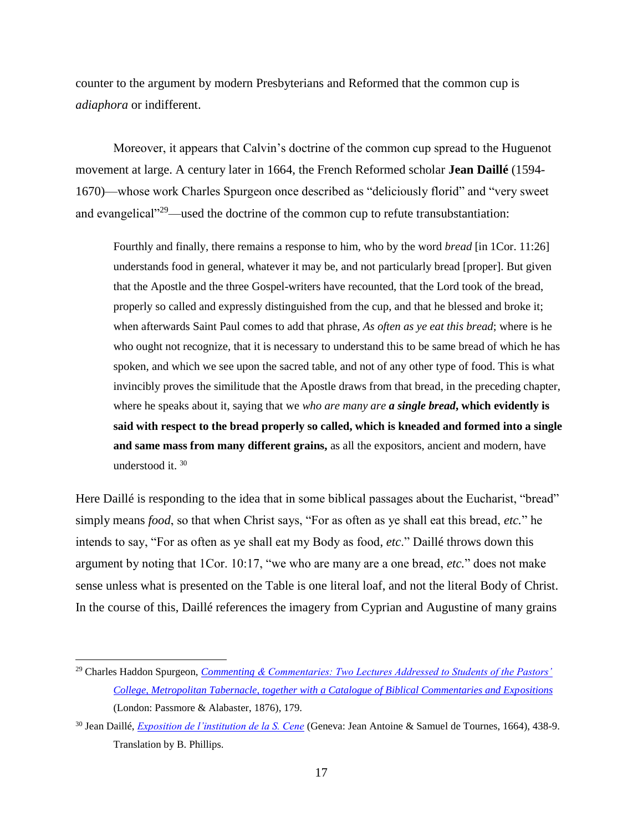counter to the argument by modern Presbyterians and Reformed that the common cup is *adiaphora* or indifferent.

Moreover, it appears that Calvin's doctrine of the common cup spread to the Huguenot movement at large. A century later in 1664, the French Reformed scholar **Jean Daillé** (1594- 1670)—whose work Charles Spurgeon once described as "deliciously florid" and "very sweet and evangelical<sup>"29</sup>—used the doctrine of the common cup to refute transubstantiation:

Fourthly and finally, there remains a response to him, who by the word *bread* [in 1Cor. 11:26] understands food in general, whatever it may be, and not particularly bread [proper]. But given that the Apostle and the three Gospel-writers have recounted, that the Lord took of the bread, properly so called and expressly distinguished from the cup, and that he blessed and broke it; when afterwards Saint Paul comes to add that phrase, *As often as ye eat this bread*; where is he who ought not recognize, that it is necessary to understand this to be same bread of which he has spoken, and which we see upon the sacred table, and not of any other type of food. This is what invincibly proves the similitude that the Apostle draws from that bread, in the preceding chapter, where he speaks about it, saying that we *who are many are a single bread***, which evidently is said with respect to the bread properly so called, which is kneaded and formed into a single and same mass from many different grains,** as all the expositors, ancient and modern, have understood it. <sup>30</sup>

Here Daillé is responding to the idea that in some biblical passages about the Eucharist, "bread" simply means *food*, so that when Christ says, "For as often as ye shall eat this bread, *etc.*" he intends to say, "For as often as ye shall eat my Body as food, *etc*." Daillé throws down this argument by noting that 1Cor. 10:17, "we who are many are a one bread, *etc.*" does not make sense unless what is presented on the Table is one literal loaf, and not the literal Body of Christ. In the course of this, Daillé references the imagery from Cyprian and Augustine of many grains

<sup>29</sup> Charles Haddon Spurgeon, *Commenting [& Commentaries: Two Lectures Addressed to Students of the Pastors'](http://books.google.com/books?id=ia4RAAAAYAAJ&pg=PA201&lpg=PA201&dq=spurgeon+catalogue+commentaries&source=bl&ots=HWib4iqPpI&sig=7rV6JZn7UfzKOpGeyGTycBbMgD0&hl=en&sa=X&ei=e7hiVIXFL8q2oQSTqoCAAQ&ved=0CE0Q6AEwCA#v=onepage&q=spurgeon%20catalogue%20commentaries&f=false)  [College, Metropolitan Tabernacle, together with a Catalogue of Biblical Commentaries and Expositions](http://books.google.com/books?id=ia4RAAAAYAAJ&pg=PA201&lpg=PA201&dq=spurgeon+catalogue+commentaries&source=bl&ots=HWib4iqPpI&sig=7rV6JZn7UfzKOpGeyGTycBbMgD0&hl=en&sa=X&ei=e7hiVIXFL8q2oQSTqoCAAQ&ved=0CE0Q6AEwCA#v=onepage&q=spurgeon%20catalogue%20commentaries&f=false)* (London: Passmore & Alabaster, 1876), 179.

<sup>30</sup> Jean Daillé, *[Exposition de l'institution de la S. Cene](http://books.google.com/books?id=aG0vSe8F5wUC&printsec=frontcover#v=onepage&q&f=false)* (Geneva: Jean Antoine & Samuel de Tournes, 1664), 438-9. Translation by B. Phillips.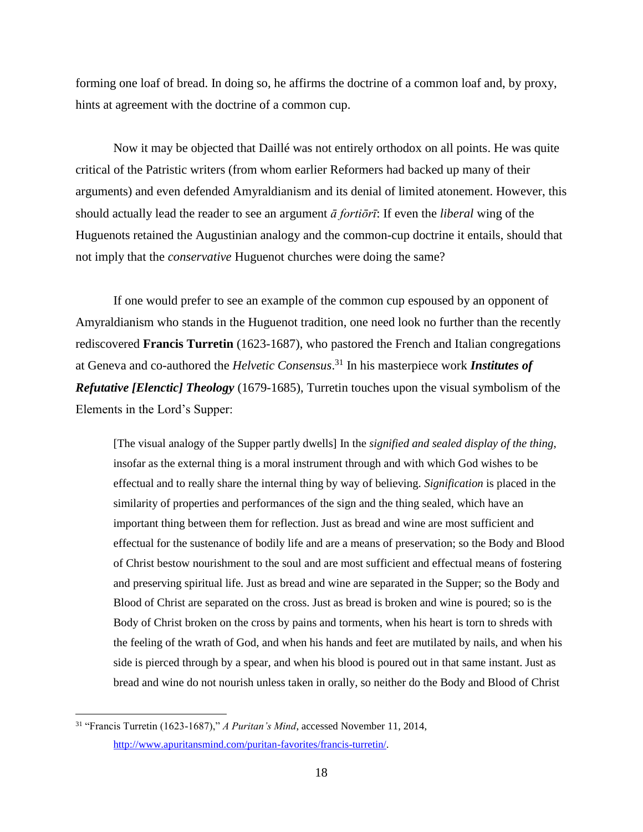forming one loaf of bread. In doing so, he affirms the doctrine of a common loaf and, by proxy, hints at agreement with the doctrine of a common cup.

Now it may be objected that Daillé was not entirely orthodox on all points. He was quite critical of the Patristic writers (from whom earlier Reformers had backed up many of their arguments) and even defended Amyraldianism and its denial of limited atonement. However, this should actually lead the reader to see an argument *ā fortiōrī*: If even the *liberal* wing of the Huguenots retained the Augustinian analogy and the common-cup doctrine it entails, should that not imply that the *conservative* Huguenot churches were doing the same?

If one would prefer to see an example of the common cup espoused by an opponent of Amyraldianism who stands in the Huguenot tradition, one need look no further than the recently rediscovered **Francis Turretin** (1623-1687), who pastored the French and Italian congregations at Geneva and co-authored the *Helvetic Consensus*. <sup>31</sup> In his masterpiece work *Institutes of Refutative [Elenctic] Theology* (1679-1685), Turretin touches upon the visual symbolism of the Elements in the Lord's Supper:

[The visual analogy of the Supper partly dwells] In the *signified and sealed display of the thing*, insofar as the external thing is a moral instrument through and with which God wishes to be effectual and to really share the internal thing by way of believing. *Signification* is placed in the similarity of properties and performances of the sign and the thing sealed, which have an important thing between them for reflection. Just as bread and wine are most sufficient and effectual for the sustenance of bodily life and are a means of preservation; so the Body and Blood of Christ bestow nourishment to the soul and are most sufficient and effectual means of fostering and preserving spiritual life. Just as bread and wine are separated in the Supper; so the Body and Blood of Christ are separated on the cross. Just as bread is broken and wine is poured; so is the Body of Christ broken on the cross by pains and torments, when his heart is torn to shreds with the feeling of the wrath of God, and when his hands and feet are mutilated by nails, and when his side is pierced through by a spear, and when his blood is poured out in that same instant. Just as bread and wine do not nourish unless taken in orally, so neither do the Body and Blood of Christ

<sup>31</sup> "Francis Turretin (1623-1687)," *A Puritan's Mind*, accessed November 11, 2014, [http://www.apuritansmind.com/puritan-favorites/francis-turretin/.](http://www.apuritansmind.com/puritan-favorites/francis-turretin/)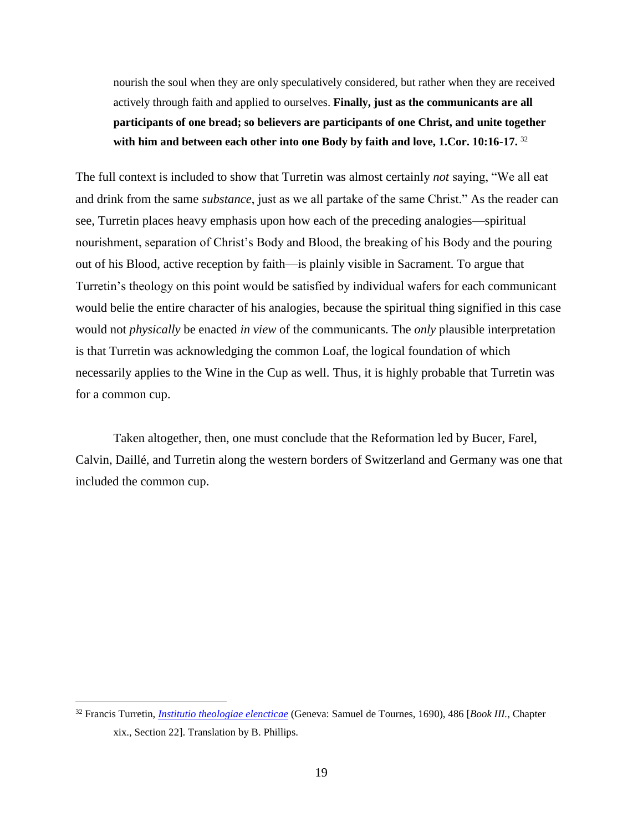nourish the soul when they are only speculatively considered, but rather when they are received actively through faith and applied to ourselves. **Finally, just as the communicants are all participants of one bread; so believers are participants of one Christ, and unite together with him and between each other into one Body by faith and love, 1.Cor. 10:16-17.** <sup>32</sup>

The full context is included to show that Turretin was almost certainly *not* saying, "We all eat and drink from the same *substance*, just as we all partake of the same Christ." As the reader can see, Turretin places heavy emphasis upon how each of the preceding analogies—spiritual nourishment, separation of Christ's Body and Blood, the breaking of his Body and the pouring out of his Blood, active reception by faith—is plainly visible in Sacrament. To argue that Turretin's theology on this point would be satisfied by individual wafers for each communicant would belie the entire character of his analogies, because the spiritual thing signified in this case would not *physically* be enacted *in view* of the communicants. The *only* plausible interpretation is that Turretin was acknowledging the common Loaf, the logical foundation of which necessarily applies to the Wine in the Cup as well. Thus, it is highly probable that Turretin was for a common cup.

Taken altogether, then, one must conclude that the Reformation led by Bucer, Farel, Calvin, Daillé, and Turretin along the western borders of Switzerland and Germany was one that included the common cup.

<sup>32</sup> Francis Turretin, *[Institutio theologiae elencticae](http://books.google.com/books?id=6hItAAAAYAAJ&printsec=titlepage#v=onepage&q&f=false)* (Geneva: Samuel de Tournes, 1690), 486 [*Book III.*, Chapter xix., Section 22]. Translation by B. Phillips.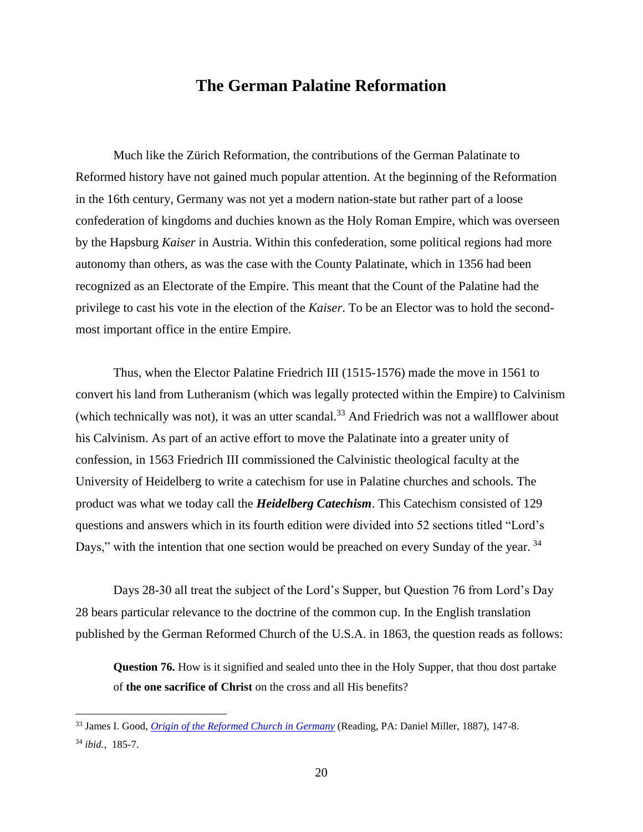#### **The German Palatine Reformation**

Much like the Zürich Reformation, the contributions of the German Palatinate to Reformed history have not gained much popular attention. At the beginning of the Reformation in the 16th century, Germany was not yet a modern nation-state but rather part of a loose confederation of kingdoms and duchies known as the Holy Roman Empire, which was overseen by the Hapsburg *Kaiser* in Austria. Within this confederation, some political regions had more autonomy than others, as was the case with the County Palatinate, which in 1356 had been recognized as an Electorate of the Empire. This meant that the Count of the Palatine had the privilege to cast his vote in the election of the *Kaiser*. To be an Elector was to hold the secondmost important office in the entire Empire.

Thus, when the Elector Palatine Friedrich III (1515-1576) made the move in 1561 to convert his land from Lutheranism (which was legally protected within the Empire) to Calvinism (which technically was not), it was an utter scandal. $33$  And Friedrich was not a wallflower about his Calvinism. As part of an active effort to move the Palatinate into a greater unity of confession, in 1563 Friedrich III commissioned the Calvinistic theological faculty at the University of Heidelberg to write a catechism for use in Palatine churches and schools. The product was what we today call the *Heidelberg Catechism*. This Catechism consisted of 129 questions and answers which in its fourth edition were divided into 52 sections titled "Lord's Days," with the intention that one section would be preached on every Sunday of the year. 34

Days 28-30 all treat the subject of the Lord's Supper, but Question 76 from Lord's Day 28 bears particular relevance to the doctrine of the common cup. In the English translation published by the German Reformed Church of the U.S.A. in 1863, the question reads as follows:

**Question 76.** How is it signified and sealed unto thee in the Holy Supper, that thou dost partake of **the one sacrifice of Christ** on the cross and all His benefits?

<sup>33</sup> James I. Good, *[Origin of the Reformed Church in Germany](http://books.google.com/books?id=I41CAQAAMAAJ&printsec=frontcover&source=gbs_ge_summary_r&cad=0#v=onepage&q&f=false)* (Reading, PA: Daniel Miller, 1887), 147-8. <sup>34</sup> *ibid.*, 185-7.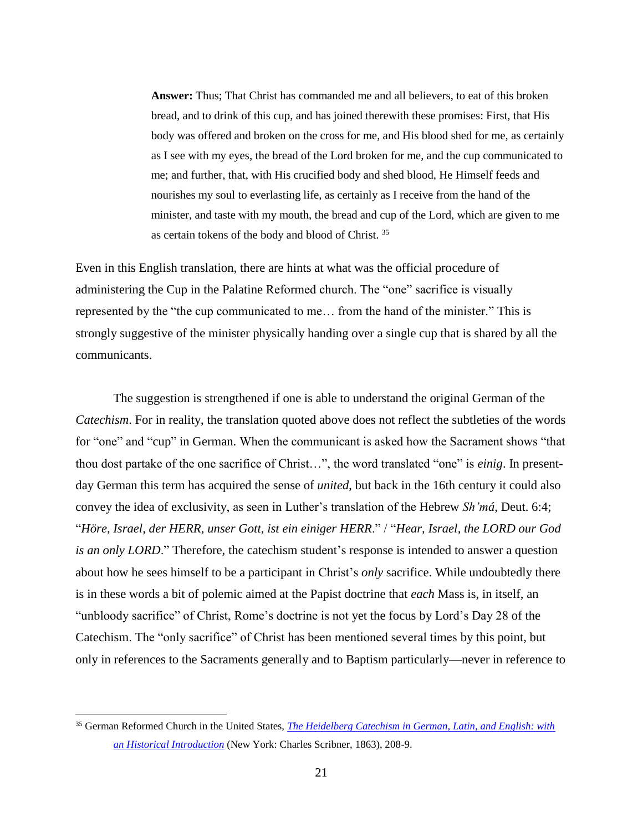**Answer:** Thus; That Christ has commanded me and all believers, to eat of this broken bread, and to drink of this cup, and has joined therewith these promises: First, that His body was offered and broken on the cross for me, and His blood shed for me, as certainly as I see with my eyes, the bread of the Lord broken for me, and the cup communicated to me; and further, that, with His crucified body and shed blood, He Himself feeds and nourishes my soul to everlasting life, as certainly as I receive from the hand of the minister, and taste with my mouth, the bread and cup of the Lord, which are given to me as certain tokens of the body and blood of Christ. <sup>35</sup>

Even in this English translation, there are hints at what was the official procedure of administering the Cup in the Palatine Reformed church. The "one" sacrifice is visually represented by the "the cup communicated to me… from the hand of the minister." This is strongly suggestive of the minister physically handing over a single cup that is shared by all the communicants.

The suggestion is strengthened if one is able to understand the original German of the *Catechism.* For in reality, the translation quoted above does not reflect the subtleties of the words for "one" and "cup" in German. When the communicant is asked how the Sacrament shows "that thou dost partake of the one sacrifice of Christ…", the word translated "one" is *einig*. In presentday German this term has acquired the sense of *united*, but back in the 16th century it could also convey the idea of exclusivity, as seen in Luther's translation of the Hebrew *Sh'má*, Deut. 6:4; "*Höre, Israel, der HERR, unser Gott, ist ein einiger HERR*." / "*Hear, Israel, the LORD our God is an only LORD*." Therefore, the catechism student's response is intended to answer a question about how he sees himself to be a participant in Christ's *only* sacrifice. While undoubtedly there is in these words a bit of polemic aimed at the Papist doctrine that *each* Mass is, in itself, an "unbloody sacrifice" of Christ, Rome's doctrine is not yet the focus by Lord's Day 28 of the Catechism. The "only sacrifice" of Christ has been mentioned several times by this point, but only in references to the Sacraments generally and to Baptism particularly—never in reference to

<sup>35</sup> German Reformed Church in the United States, *[The Heidelberg Catechism in German, Latin, and English: with](https://archive.org/details/heidelbergcatech00newy)  [an Historical Introduction](https://archive.org/details/heidelbergcatech00newy)* (New York: Charles Scribner, 1863), 208-9.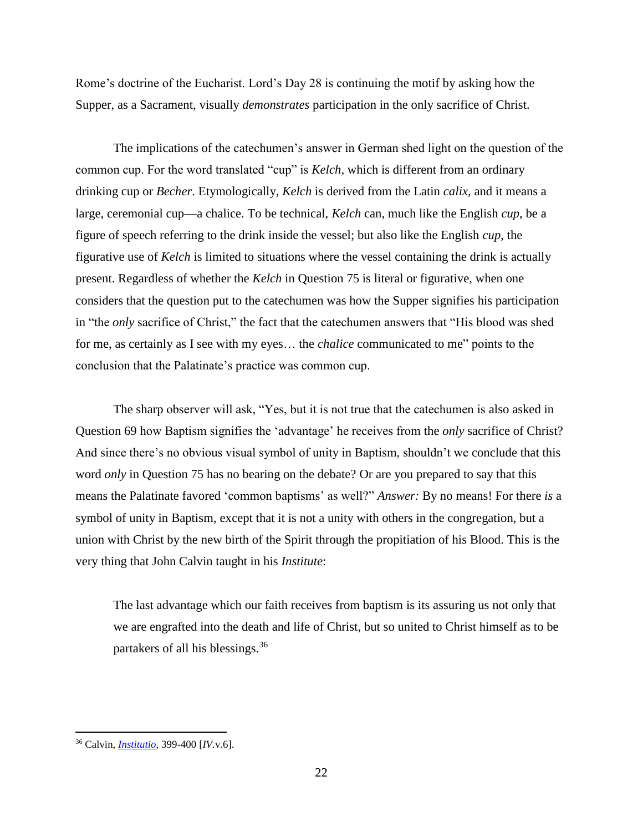Rome's doctrine of the Eucharist. Lord's Day 28 is continuing the motif by asking how the Supper, as a Sacrament, visually *demonstrates* participation in the only sacrifice of Christ.

The implications of the catechumen's answer in German shed light on the question of the common cup. For the word translated "cup" is *Kelch*, which is different from an ordinary drinking cup or *Becher*. Etymologically, *Kelch* is derived from the Latin *calix*, and it means a large, ceremonial cup—a chalice. To be technical, *Kelch* can, much like the English *cup*, be a figure of speech referring to the drink inside the vessel; but also like the English *cup*, the figurative use of *Kelch* is limited to situations where the vessel containing the drink is actually present. Regardless of whether the *Kelch* in Question 75 is literal or figurative, when one considers that the question put to the catechumen was how the Supper signifies his participation in "the *only* sacrifice of Christ," the fact that the catechumen answers that "His blood was shed for me, as certainly as I see with my eyes… the *chalice* communicated to me" points to the conclusion that the Palatinate's practice was common cup.

The sharp observer will ask, "Yes, but it is not true that the catechumen is also asked in Question 69 how Baptism signifies the 'advantage' he receives from the *only* sacrifice of Christ? And since there's no obvious visual symbol of unity in Baptism, shouldn't we conclude that this word *only* in Question 75 has no bearing on the debate? Or are you prepared to say that this means the Palatinate favored 'common baptisms' as well?" *Answer:* By no means! For there *is* a symbol of unity in Baptism, except that it is not a unity with others in the congregation, but a union with Christ by the new birth of the Spirit through the propitiation of his Blood. This is the very thing that John Calvin taught in his *Institute*:

The last advantage which our faith receives from baptism is its assuring us not only that we are engrafted into the death and life of Christ, but so united to Christ himself as to be partakers of all his blessings.<sup>36</sup>

<sup>36</sup> Calvin, *[Institutio](http://www.e-rara.ch/zuz/content/titleinfo/859317)*, 399-400 [*IV.*v.6].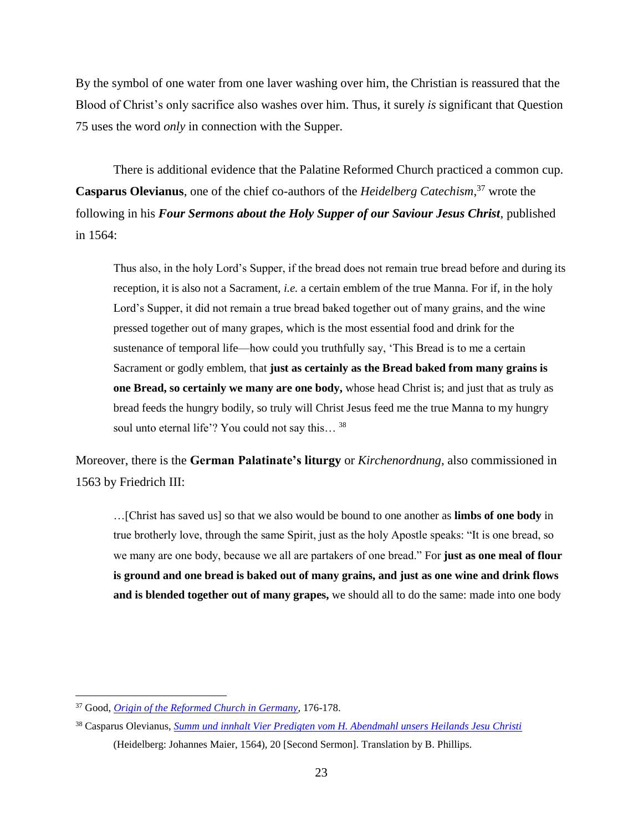By the symbol of one water from one laver washing over him, the Christian is reassured that the Blood of Christ's only sacrifice also washes over him. Thus, it surely *is* significant that Question 75 uses the word *only* in connection with the Supper.

There is additional evidence that the Palatine Reformed Church practiced a common cup. **Casparus Olevianus**, one of the chief co-authors of the *Heidelberg Catechism*, <sup>37</sup> wrote the following in his *Four Sermons about the Holy Supper of our Saviour Jesus Christ*, published in 1564:

Thus also, in the holy Lord's Supper, if the bread does not remain true bread before and during its reception, it is also not a Sacrament, *i.e.* a certain emblem of the true Manna. For if, in the holy Lord's Supper, it did not remain a true bread baked together out of many grains, and the wine pressed together out of many grapes, which is the most essential food and drink for the sustenance of temporal life—how could you truthfully say, 'This Bread is to me a certain Sacrament or godly emblem, that **just as certainly as the Bread baked from many grains is one Bread, so certainly we many are one body,** whose head Christ is; and just that as truly as bread feeds the hungry bodily, so truly will Christ Jesus feed me the true Manna to my hungry soul unto eternal life'? You could not say this...<sup>38</sup>

Moreover, there is the **German Palatinate's liturgy** or *Kirchenordnung*, also commissioned in 1563 by Friedrich III:

…[Christ has saved us] so that we also would be bound to one another as **limbs of one body** in true brotherly love, through the same Spirit, just as the holy Apostle speaks: "It is one bread, so we many are one body, because we all are partakers of one bread." For **just as one meal of flour is ground and one bread is baked out of many grains, and just as one wine and drink flows and is blended together out of many grapes,** we should all to do the same: made into one body

<sup>37</sup> Good, *[Origin of the Reformed Church in Germany](http://books.google.com/books?id=I41CAQAAMAAJ&printsec=frontcover&source=gbs_ge_summary_r&cad=0#v=onepage&q&f=false)*, 176-178.

<sup>38</sup> Casparus Olevianus, *[Summ und innhalt Vier Predigten vom H. Abendmahl unsers Heilands Jesu Christi](http://reader.digitale-sammlungen.de/resolve/display/bsb11065586.html)* (Heidelberg: Johannes Maier, 1564), 20 [Second Sermon]. Translation by B. Phillips.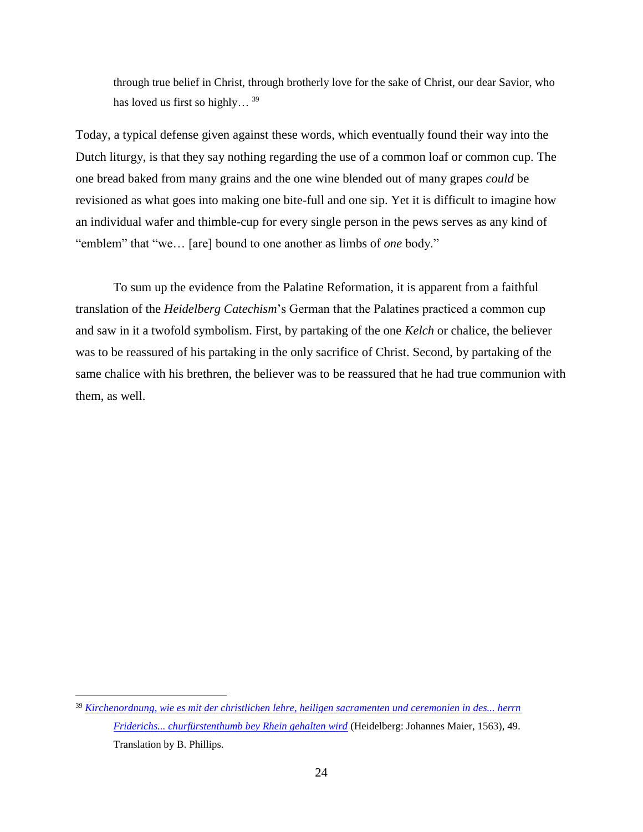through true belief in Christ, through brotherly love for the sake of Christ, our dear Savior, who has loved us first so highly...<sup>39</sup>

Today, a typical defense given against these words, which eventually found their way into the Dutch liturgy, is that they say nothing regarding the use of a common loaf or common cup. The one bread baked from many grains and the one wine blended out of many grapes *could* be revisioned as what goes into making one bite-full and one sip. Yet it is difficult to imagine how an individual wafer and thimble-cup for every single person in the pews serves as any kind of "emblem" that "we… [are] bound to one another as limbs of *one* body."

To sum up the evidence from the Palatine Reformation, it is apparent from a faithful translation of the *Heidelberg Catechism*'s German that the Palatines practiced a common cup and saw in it a twofold symbolism. First, by partaking of the one *Kelch* or chalice, the believer was to be reassured of his partaking in the only sacrifice of Christ. Second, by partaking of the same chalice with his brethren, the believer was to be reassured that he had true communion with them, as well.

<sup>39</sup> *[Kirchenordnung, wie es mit der christlichen lehre, heiligen sacramenten und ceremonien in des... herrn](http://www.serk-heidelberg.de/2010/09/die-pfalzer-kirchenordnung/)  [Friderichs... churfürstenthumb bey Rhein gehalten wird](http://www.serk-heidelberg.de/2010/09/die-pfalzer-kirchenordnung/)* (Heidelberg: Johannes Maier, 1563), 49. Translation by B. Phillips.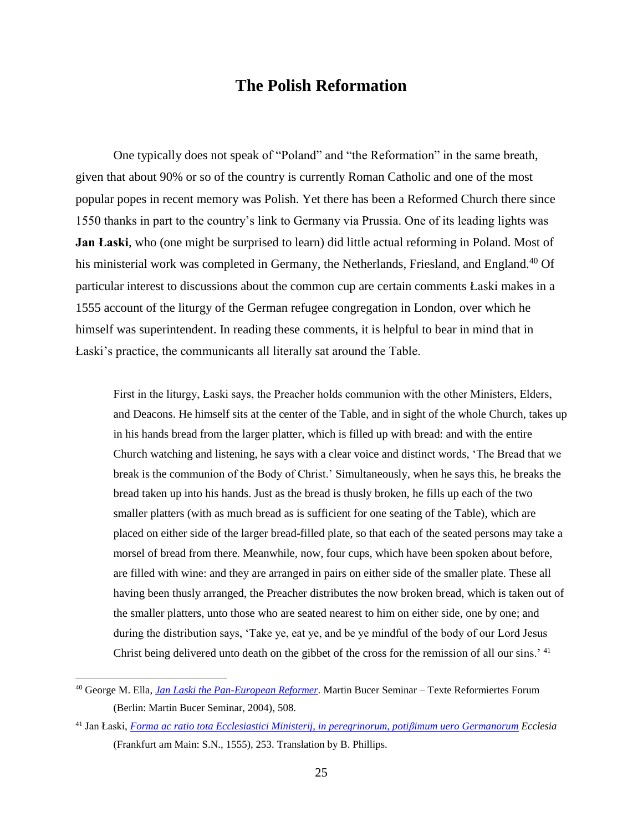## **The Polish Reformation**

One typically does not speak of "Poland" and "the Reformation" in the same breath, given that about 90% or so of the country is currently Roman Catholic and one of the most popular popes in recent memory was Polish. Yet there has been a Reformed Church there since 1550 thanks in part to the country's link to Germany via Prussia. One of its leading lights was **Jan Łaski**, who (one might be surprised to learn) did little actual reforming in Poland. Most of his ministerial work was completed in Germany, the Netherlands, Friesland, and England.<sup>40</sup> Of particular interest to discussions about the common cup are certain comments Łaski makes in a 1555 account of the liturgy of the German refugee congregation in London, over which he himself was superintendent. In reading these comments, it is helpful to bear in mind that in Łaski's practice, the communicants all literally sat around the Table.

First in the liturgy, Łaski says, the Preacher holds communion with the other Ministers, Elders, and Deacons. He himself sits at the center of the Table, and in sight of the whole Church, takes up in his hands bread from the larger platter, which is filled up with bread: and with the entire Church watching and listening, he says with a clear voice and distinct words, 'The Bread that we break is the communion of the Body of Christ.' Simultaneously, when he says this, he breaks the bread taken up into his hands. Just as the bread is thusly broken, he fills up each of the two smaller platters (with as much bread as is sufficient for one seating of the Table), which are placed on either side of the larger bread-filled plate, so that each of the seated persons may take a morsel of bread from there. Meanwhile, now, four cups, which have been spoken about before, are filled with wine: and they are arranged in pairs on either side of the smaller plate. These all having been thusly arranged, the Preacher distributes the now broken bread, which is taken out of the smaller platters, unto those who are seated nearest to him on either side, one by one; and during the distribution says, 'Take ye, eat ye, and be ye mindful of the body of our Lord Jesus Christ being delivered unto death on the gibbet of the cross for the remission of all our sins.<sup>'41</sup>

<sup>40</sup> George M. Ella, *[Jan Laski the Pan-European Reformer](http://www.contra-mundum.org/mbs/mbstexte019.pdf)*. Martin Bucer Seminar – Texte Reformiertes Forum (Berlin: Martin Bucer Seminar, 2004), 508.

<sup>41</sup> Jan Łaski, *[Forma ac ratio tota Ecclesiastici Ministerij, in peregrinorum, potiβimum uero Germanorum](http://daten.digitale-sammlungen.de/0002/bsb00022462/images/index.html?fip=193.174.98.30&id=00022462&seite=1) Ecclesia* (Frankfurt am Main: S.N., 1555), 253. Translation by B. Phillips.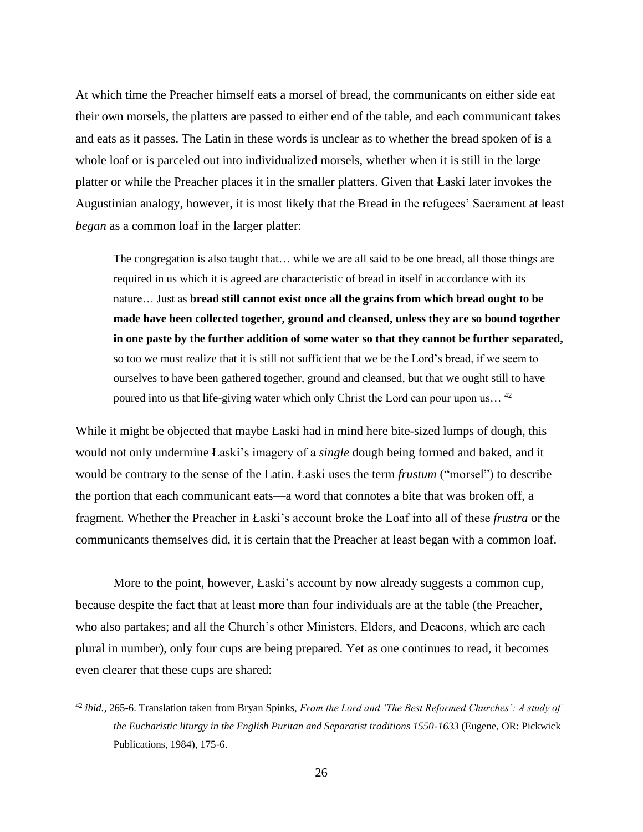At which time the Preacher himself eats a morsel of bread, the communicants on either side eat their own morsels, the platters are passed to either end of the table, and each communicant takes and eats as it passes. The Latin in these words is unclear as to whether the bread spoken of is a whole loaf or is parceled out into individualized morsels, whether when it is still in the large platter or while the Preacher places it in the smaller platters. Given that Łaski later invokes the Augustinian analogy, however, it is most likely that the Bread in the refugees' Sacrament at least *began* as a common loaf in the larger platter:

The congregation is also taught that… while we are all said to be one bread, all those things are required in us which it is agreed are characteristic of bread in itself in accordance with its nature… Just as **bread still cannot exist once all the grains from which bread ought to be made have been collected together, ground and cleansed, unless they are so bound together in one paste by the further addition of some water so that they cannot be further separated,** so too we must realize that it is still not sufficient that we be the Lord's bread, if we seem to ourselves to have been gathered together, ground and cleansed, but that we ought still to have poured into us that life-giving water which only Christ the Lord can pour upon us… <sup>42</sup>

While it might be objected that maybe Łaski had in mind here bite-sized lumps of dough, this would not only undermine Łaski's imagery of a *single* dough being formed and baked, and it would be contrary to the sense of the Latin. Łaski uses the term *frustum* ("morsel") to describe the portion that each communicant eats—a word that connotes a bite that was broken off, a fragment. Whether the Preacher in Łaski's account broke the Loaf into all of these *frustra* or the communicants themselves did, it is certain that the Preacher at least began with a common loaf.

More to the point, however, Łaski's account by now already suggests a common cup, because despite the fact that at least more than four individuals are at the table (the Preacher, who also partakes; and all the Church's other Ministers, Elders, and Deacons, which are each plural in number), only four cups are being prepared. Yet as one continues to read, it becomes even clearer that these cups are shared:

<sup>42</sup> *ibid.*, 265-6. Translation taken from Bryan Spinks, *From the Lord and 'The Best Reformed Churches': A study of the Eucharistic liturgy in the English Puritan and Separatist traditions 1550-1633* (Eugene, OR: Pickwick Publications, 1984), 175-6.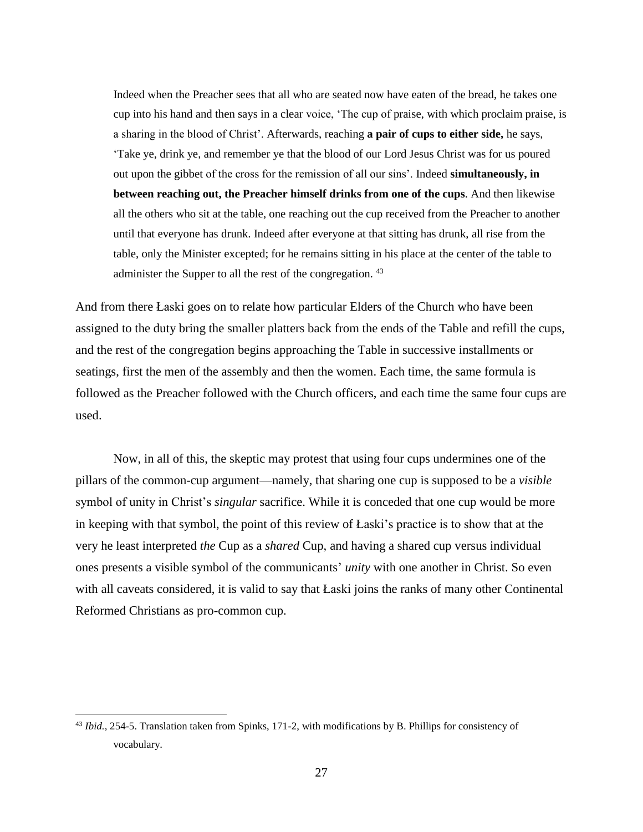Indeed when the Preacher sees that all who are seated now have eaten of the bread, he takes one cup into his hand and then says in a clear voice, 'The cup of praise, with which proclaim praise, is a sharing in the blood of Christ'. Afterwards, reaching **a pair of cups to either side,** he says, 'Take ye, drink ye, and remember ye that the blood of our Lord Jesus Christ was for us poured out upon the gibbet of the cross for the remission of all our sins'. Indeed **simultaneously, in between reaching out, the Preacher himself drinks from one of the cups**. And then likewise all the others who sit at the table, one reaching out the cup received from the Preacher to another until that everyone has drunk. Indeed after everyone at that sitting has drunk, all rise from the table, only the Minister excepted; for he remains sitting in his place at the center of the table to administer the Supper to all the rest of the congregation. <sup>43</sup>

And from there Łaski goes on to relate how particular Elders of the Church who have been assigned to the duty bring the smaller platters back from the ends of the Table and refill the cups, and the rest of the congregation begins approaching the Table in successive installments or seatings, first the men of the assembly and then the women. Each time, the same formula is followed as the Preacher followed with the Church officers, and each time the same four cups are used.

Now, in all of this, the skeptic may protest that using four cups undermines one of the pillars of the common-cup argument—namely, that sharing one cup is supposed to be a *visible* symbol of unity in Christ's *singular* sacrifice. While it is conceded that one cup would be more in keeping with that symbol, the point of this review of Łaski's practice is to show that at the very he least interpreted *the* Cup as a *shared* Cup, and having a shared cup versus individual ones presents a visible symbol of the communicants' *unity* with one another in Christ. So even with all caveats considered, it is valid to say that Łaski joins the ranks of many other Continental Reformed Christians as pro-common cup.

<sup>43</sup> *Ibid.*, 254-5. Translation taken from Spinks, 171-2, with modifications by B. Phillips for consistency of vocabulary.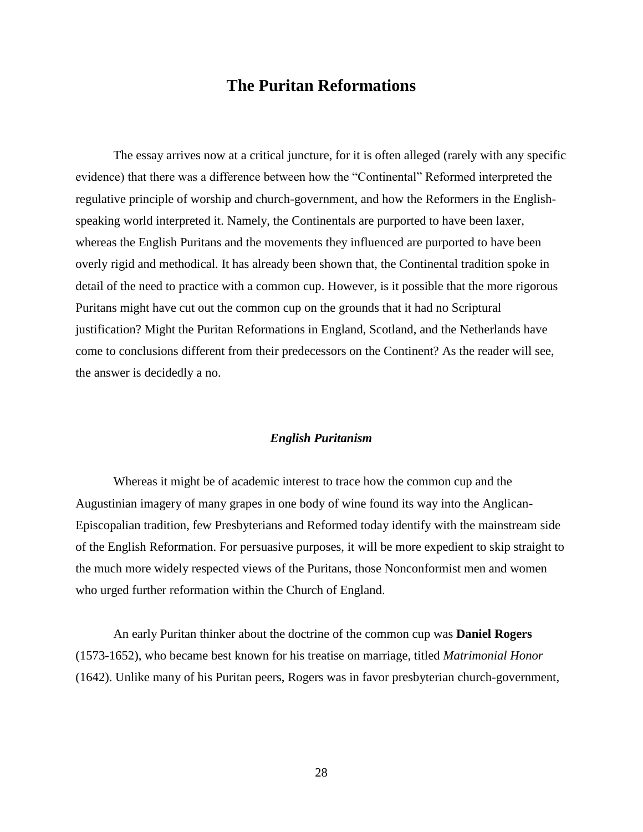## **The Puritan Reformations**

The essay arrives now at a critical juncture, for it is often alleged (rarely with any specific evidence) that there was a difference between how the "Continental" Reformed interpreted the regulative principle of worship and church-government, and how the Reformers in the Englishspeaking world interpreted it. Namely, the Continentals are purported to have been laxer, whereas the English Puritans and the movements they influenced are purported to have been overly rigid and methodical. It has already been shown that, the Continental tradition spoke in detail of the need to practice with a common cup. However, is it possible that the more rigorous Puritans might have cut out the common cup on the grounds that it had no Scriptural justification? Might the Puritan Reformations in England, Scotland, and the Netherlands have come to conclusions different from their predecessors on the Continent? As the reader will see, the answer is decidedly a no.

#### *English Puritanism*

Whereas it might be of academic interest to trace how the common cup and the Augustinian imagery of many grapes in one body of wine found its way into the Anglican-Episcopalian tradition, few Presbyterians and Reformed today identify with the mainstream side of the English Reformation. For persuasive purposes, it will be more expedient to skip straight to the much more widely respected views of the Puritans, those Nonconformist men and women who urged further reformation within the Church of England.

An early Puritan thinker about the doctrine of the common cup was **Daniel Rogers** (1573-1652), who became best known for his treatise on marriage, titled *Matrimonial Honor* (1642). Unlike many of his Puritan peers, Rogers was in favor presbyterian church-government,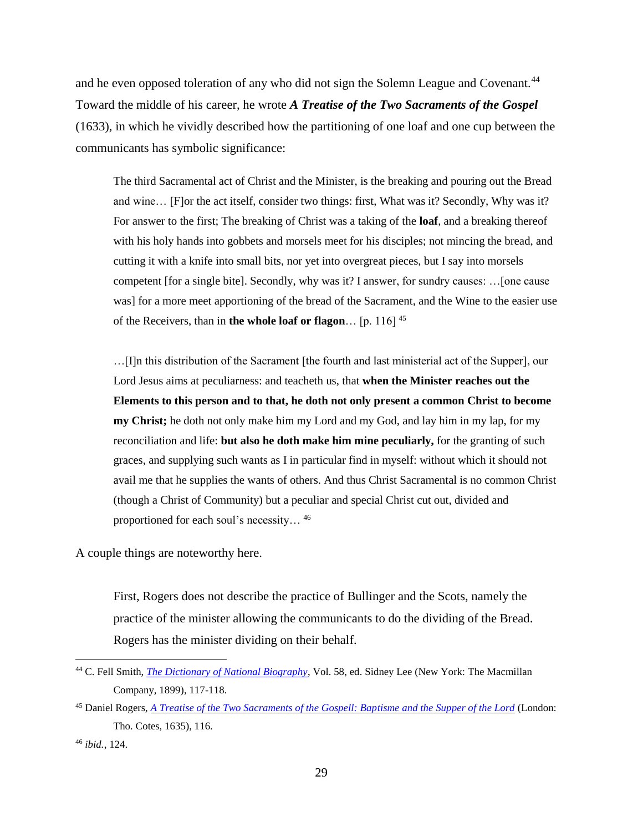and he even opposed toleration of any who did not sign the Solemn League and Covenant.<sup>44</sup> Toward the middle of his career, he wrote *A Treatise of the Two Sacraments of the Gospel* (1633), in which he vividly described how the partitioning of one loaf and one cup between the communicants has symbolic significance:

The third Sacramental act of Christ and the Minister, is the breaking and pouring out the Bread and wine… [F]or the act itself, consider two things: first, What was it? Secondly, Why was it? For answer to the first; The breaking of Christ was a taking of the **loaf**, and a breaking thereof with his holy hands into gobbets and morsels meet for his disciples; not mincing the bread, and cutting it with a knife into small bits, nor yet into overgreat pieces, but I say into morsels competent [for a single bite]. Secondly, why was it? I answer, for sundry causes: …[one cause was] for a more meet apportioning of the bread of the Sacrament, and the Wine to the easier use of the Receivers, than in **the whole loaf or flagon**… [p. 116] <sup>45</sup>

…[I]n this distribution of the Sacrament [the fourth and last ministerial act of the Supper], our Lord Jesus aims at peculiarness: and teacheth us, that **when the Minister reaches out the Elements to this person and to that, he doth not only present a common Christ to become my Christ;** he doth not only make him my Lord and my God, and lay him in my lap, for my reconciliation and life: **but also he doth make him mine peculiarly,** for the granting of such graces, and supplying such wants as I in particular find in myself: without which it should not avail me that he supplies the wants of others. And thus Christ Sacramental is no common Christ (though a Christ of Community) but a peculiar and special Christ cut out, divided and proportioned for each soul's necessity… <sup>46</sup>

A couple things are noteworthy here.

First, Rogers does not describe the practice of Bullinger and the Scots, namely the practice of the minister allowing the communicants to do the dividing of the Bread. Rogers has the minister dividing on their behalf.

<sup>44</sup> C. Fell Smith, *[The Dictionary of National Biography](http://books.google.com/books?id=aCkJAAAAIAAJ&printsec=frontcover&source=gbs_ge_summary_r&cad=0#v=onepage&q&f=false)*, Vol. 58, ed. Sidney Lee (New York: The Macmillan Company, 1899), 117-118.

<sup>45</sup> Daniel Rogers, *[A Treatise of the Two Sacraments of the Gospell: Baptisme and the Supper of the Lord](https://archive.org/details/treatiseoftwosac01drda)* (London: Tho. Cotes, 1635), 116.

<sup>46</sup> *ibid.*, 124.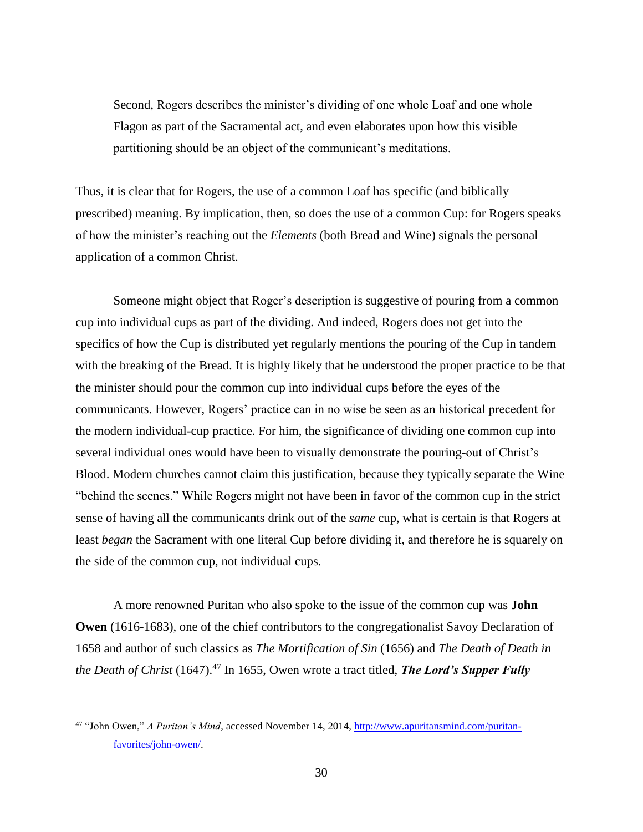Second, Rogers describes the minister's dividing of one whole Loaf and one whole Flagon as part of the Sacramental act, and even elaborates upon how this visible partitioning should be an object of the communicant's meditations.

Thus, it is clear that for Rogers, the use of a common Loaf has specific (and biblically prescribed) meaning. By implication, then, so does the use of a common Cup: for Rogers speaks of how the minister's reaching out the *Elements* (both Bread and Wine) signals the personal application of a common Christ.

Someone might object that Roger's description is suggestive of pouring from a common cup into individual cups as part of the dividing. And indeed, Rogers does not get into the specifics of how the Cup is distributed yet regularly mentions the pouring of the Cup in tandem with the breaking of the Bread. It is highly likely that he understood the proper practice to be that the minister should pour the common cup into individual cups before the eyes of the communicants. However, Rogers' practice can in no wise be seen as an historical precedent for the modern individual-cup practice. For him, the significance of dividing one common cup into several individual ones would have been to visually demonstrate the pouring-out of Christ's Blood. Modern churches cannot claim this justification, because they typically separate the Wine "behind the scenes." While Rogers might not have been in favor of the common cup in the strict sense of having all the communicants drink out of the *same* cup, what is certain is that Rogers at least *began* the Sacrament with one literal Cup before dividing it, and therefore he is squarely on the side of the common cup, not individual cups.

A more renowned Puritan who also spoke to the issue of the common cup was **John Owen** (1616-1683), one of the chief contributors to the congregationalist Savoy Declaration of 1658 and author of such classics as *The Mortification of Sin* (1656) and *The Death of Death in the Death of Christ* (1647).<sup>47</sup> In 1655, Owen wrote a tract titled, **The Lord's Supper Fully** 

<sup>47</sup> "John Owen," *A Puritan's Mind*, accessed November 14, 2014, [http://www.apuritansmind.com/puritan](http://www.apuritansmind.com/puritan-favorites/john-owen/)[favorites/john-owen/.](http://www.apuritansmind.com/puritan-favorites/john-owen/)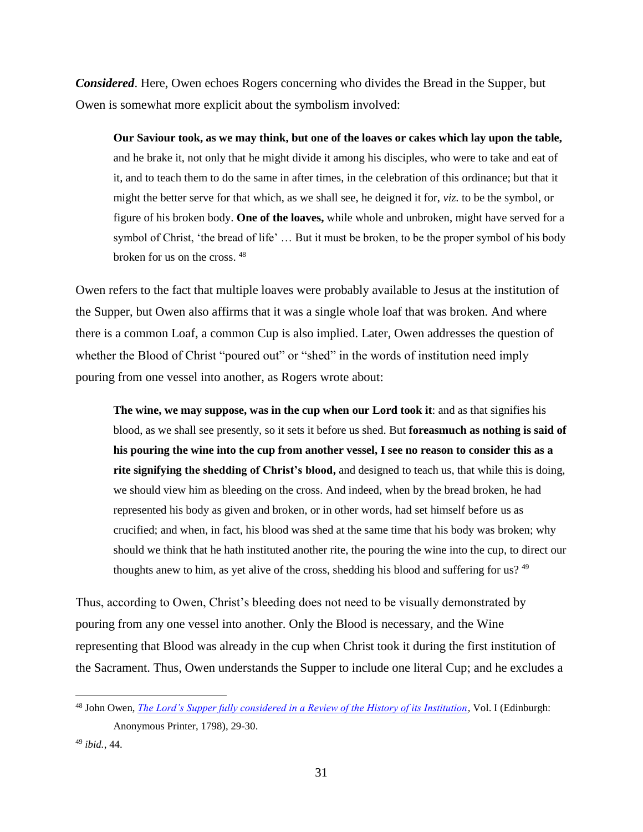*Considered*. Here, Owen echoes Rogers concerning who divides the Bread in the Supper, but Owen is somewhat more explicit about the symbolism involved:

**Our Saviour took, as we may think, but one of the loaves or cakes which lay upon the table,** and he brake it, not only that he might divide it among his disciples, who were to take and eat of it, and to teach them to do the same in after times, in the celebration of this ordinance; but that it might the better serve for that which, as we shall see, he deigned it for, *viz.* to be the symbol, or figure of his broken body. **One of the loaves,** while whole and unbroken, might have served for a symbol of Christ, 'the bread of life' … But it must be broken, to be the proper symbol of his body broken for us on the cross. <sup>48</sup>

Owen refers to the fact that multiple loaves were probably available to Jesus at the institution of the Supper, but Owen also affirms that it was a single whole loaf that was broken. And where there is a common Loaf, a common Cup is also implied. Later, Owen addresses the question of whether the Blood of Christ "poured out" or "shed" in the words of institution need imply pouring from one vessel into another, as Rogers wrote about:

**The wine, we may suppose, was in the cup when our Lord took it**: and as that signifies his blood, as we shall see presently, so it sets it before us shed. But **foreasmuch as nothing is said of his pouring the wine into the cup from another vessel, I see no reason to consider this as a rite signifying the shedding of Christ's blood,** and designed to teach us, that while this is doing, we should view him as bleeding on the cross. And indeed, when by the bread broken, he had represented his body as given and broken, or in other words, had set himself before us as crucified; and when, in fact, his blood was shed at the same time that his body was broken; why should we think that he hath instituted another rite, the pouring the wine into the cup, to direct our thoughts anew to him, as yet alive of the cross, shedding his blood and suffering for us?  $49$ 

Thus, according to Owen, Christ's bleeding does not need to be visually demonstrated by pouring from any one vessel into another. Only the Blood is necessary, and the Wine representing that Blood was already in the cup when Christ took it during the first institution of the Sacrament. Thus, Owen understands the Supper to include one literal Cup; and he excludes a

<sup>48</sup> John Owen, *[The Lord's Supper fully considered in a Review of the History of its Institution,](https://archive.org/details/lordssupperfully12owen)* Vol. I (Edinburgh: Anonymous Printer, 1798), 29-30.

<sup>49</sup> *ibid.*, 44.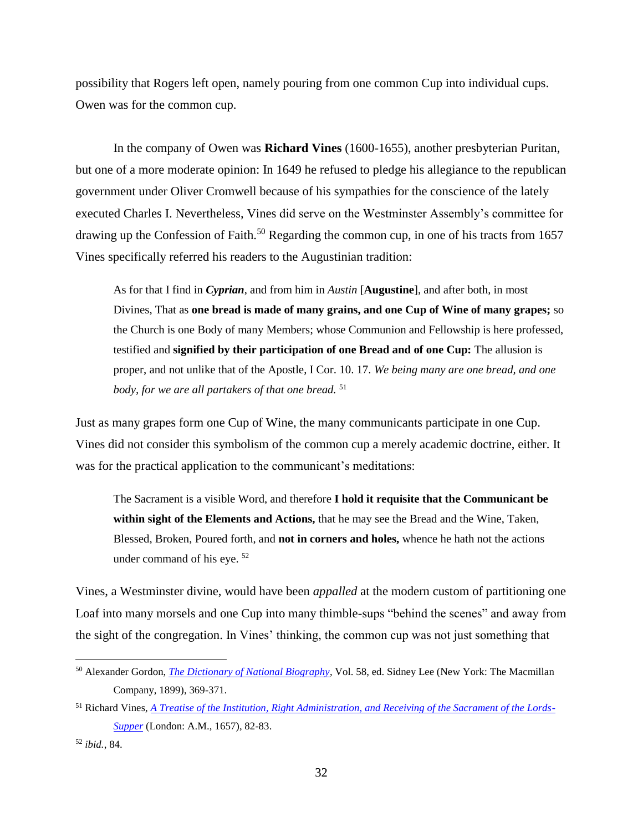possibility that Rogers left open, namely pouring from one common Cup into individual cups. Owen was for the common cup.

In the company of Owen was **Richard Vines** (1600-1655), another presbyterian Puritan, but one of a more moderate opinion: In 1649 he refused to pledge his allegiance to the republican government under Oliver Cromwell because of his sympathies for the conscience of the lately executed Charles I. Nevertheless, Vines did serve on the Westminster Assembly's committee for drawing up the Confession of Faith.<sup>50</sup> Regarding the common cup, in one of his tracts from  $1657$ Vines specifically referred his readers to the Augustinian tradition:

As for that I find in *Cyprian*, and from him in *Austin* [**Augustine**], and after both, in most Divines, That as **one bread is made of many grains, and one Cup of Wine of many grapes;** so the Church is one Body of many Members; whose Communion and Fellowship is here professed, testified and **signified by their participation of one Bread and of one Cup:** The allusion is proper, and not unlike that of the Apostle, I Cor. 10. 17. *We being many are one bread, and one body, for we are all partakers of that one bread.* <sup>51</sup>

Just as many grapes form one Cup of Wine, the many communicants participate in one Cup. Vines did not consider this symbolism of the common cup a merely academic doctrine, either. It was for the practical application to the communicant's meditations:

The Sacrament is a visible Word, and therefore **I hold it requisite that the Communicant be within sight of the Elements and Actions,** that he may see the Bread and the Wine, Taken, Blessed, Broken, Poured forth, and **not in corners and holes,** whence he hath not the actions under command of his eye. <sup>52</sup>

Vines, a Westminster divine, would have been *appalled* at the modern custom of partitioning one Loaf into many morsels and one Cup into many thimble-sups "behind the scenes" and away from the sight of the congregation. In Vines' thinking, the common cup was not just something that

<sup>50</sup> Alexander Gordon, *[The Dictionary of National Biography](http://books.google.com/books?id=kicJAAAAIAAJ&printsec=frontcover&source=gbs_ge_summary_r&cad=0#v=onepage&q&f=false)*, Vol. 58, ed. Sidney Lee (New York: The Macmillan Company, 1899), 369-371.

<sup>51</sup> Richard Vines, *[A Treatise of the Institution, Right Administration, and Receiving of the Sacrament of the Lords-](http://books.google.com/books?id=1wk8AQAAMAAJ&printsec=frontcover#v=onepage&q&f=false)[Supper](http://books.google.com/books?id=1wk8AQAAMAAJ&printsec=frontcover#v=onepage&q&f=false)* (London: A.M., 1657), 82-83.

<sup>52</sup> *ibid.*, 84.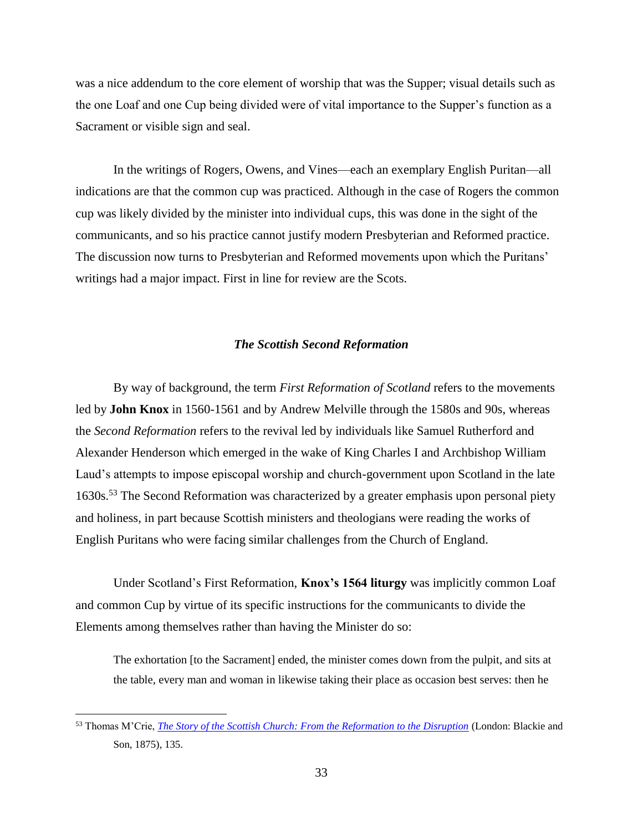was a nice addendum to the core element of worship that was the Supper; visual details such as the one Loaf and one Cup being divided were of vital importance to the Supper's function as a Sacrament or visible sign and seal.

In the writings of Rogers, Owens, and Vines—each an exemplary English Puritan—all indications are that the common cup was practiced. Although in the case of Rogers the common cup was likely divided by the minister into individual cups, this was done in the sight of the communicants, and so his practice cannot justify modern Presbyterian and Reformed practice. The discussion now turns to Presbyterian and Reformed movements upon which the Puritans' writings had a major impact. First in line for review are the Scots.

#### *The Scottish Second Reformation*

By way of background, the term *First Reformation of Scotland* refers to the movements led by **John Knox** in 1560-1561 and by Andrew Melville through the 1580s and 90s, whereas the *Second Reformation* refers to the revival led by individuals like Samuel Rutherford and Alexander Henderson which emerged in the wake of King Charles I and Archbishop William Laud's attempts to impose episcopal worship and church-government upon Scotland in the late 1630s.<sup>53</sup> The Second Reformation was characterized by a greater emphasis upon personal piety and holiness, in part because Scottish ministers and theologians were reading the works of English Puritans who were facing similar challenges from the Church of England.

Under Scotland's First Reformation, **Knox's 1564 liturgy** was implicitly common Loaf and common Cup by virtue of its specific instructions for the communicants to divide the Elements among themselves rather than having the Minister do so:

The exhortation [to the Sacrament] ended, the minister comes down from the pulpit, and sits at the table, every man and woman in likewise taking their place as occasion best serves: then he

<sup>53</sup> Thomas M'Crie, *[The Story of the Scottish Church: From the Reformation to the Disruption](http://books.google.com/books?id=t0QRAAAAIAAJ&printsec=frontcover&source=gbs_ge_summary_r&cad=0#v=onepage&q&f=false)* (London: Blackie and Son, 1875), 135.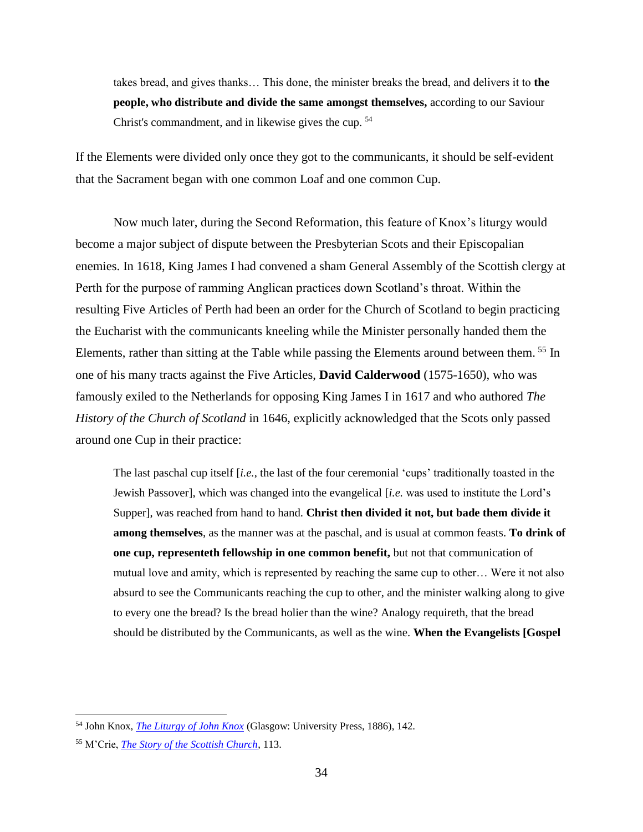takes bread, and gives thanks… This done, the minister breaks the bread, and delivers it to **the people, who distribute and divide the same amongst themselves,** according to our Saviour Christ's commandment, and in likewise gives the cup. <sup>54</sup>

If the Elements were divided only once they got to the communicants, it should be self-evident that the Sacrament began with one common Loaf and one common Cup.

Now much later, during the Second Reformation, this feature of Knox's liturgy would become a major subject of dispute between the Presbyterian Scots and their Episcopalian enemies. In 1618, King James I had convened a sham General Assembly of the Scottish clergy at Perth for the purpose of ramming Anglican practices down Scotland's throat. Within the resulting Five Articles of Perth had been an order for the Church of Scotland to begin practicing the Eucharist with the communicants kneeling while the Minister personally handed them the Elements, rather than sitting at the Table while passing the Elements around between them. <sup>55</sup> In one of his many tracts against the Five Articles, **David Calderwood** (1575-1650), who was famously exiled to the Netherlands for opposing King James I in 1617 and who authored *The History of the Church of Scotland* in 1646, explicitly acknowledged that the Scots only passed around one Cup in their practice:

The last paschal cup itself [*i.e.*, the last of the four ceremonial 'cups' traditionally toasted in the Jewish Passover], which was changed into the evangelical [*i.e.* was used to institute the Lord's Supper], was reached from hand to hand. **Christ then divided it not, but bade them divide it among themselves**, as the manner was at the paschal, and is usual at common feasts. **To drink of one cup, representeth fellowship in one common benefit,** but not that communication of mutual love and amity, which is represented by reaching the same cup to other… Were it not also absurd to see the Communicants reaching the cup to other, and the minister walking along to give to every one the bread? Is the bread holier than the wine? Analogy requireth, that the bread should be distributed by the Communicants, as well as the wine. **When the Evangelists [Gospel** 

<sup>54</sup> John Knox, *[The Liturgy of John Knox](https://archive.org/details/liturgyjohnknox00knoxuoft)* (Glasgow: University Press, 1886), 142.

<sup>55</sup> M'Crie, *[The Story of the Scottish Church](http://books.google.com/books?id=t0QRAAAAIAAJ&printsec=frontcover&source=gbs_ge_summary_r&cad=0#v=onepage&q&f=false)*, 113.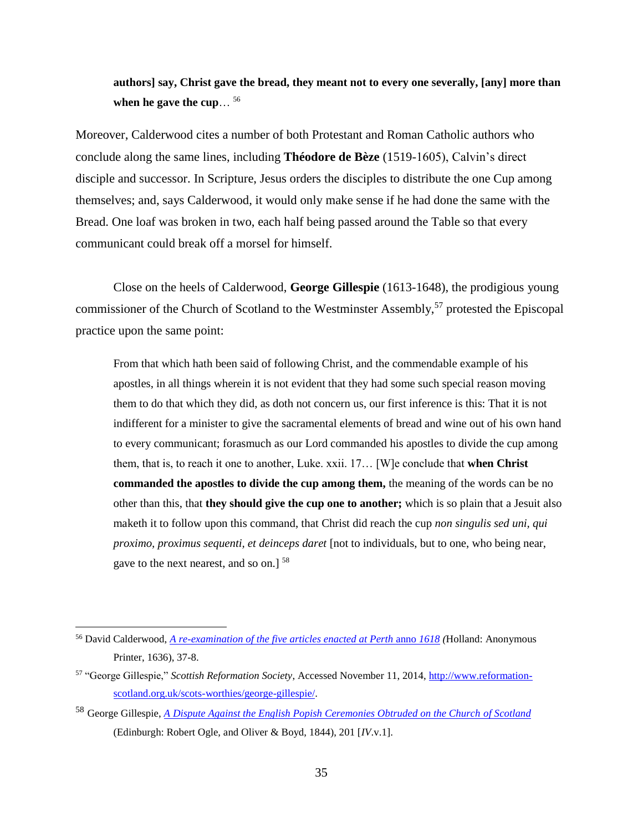**authors] say, Christ gave the bread, they meant not to every one severally, [any] more than when he gave the cup**… 56

Moreover, Calderwood cites a number of both Protestant and Roman Catholic authors who conclude along the same lines, including **Théodore de Bèze** (1519-1605), Calvin's direct disciple and successor. In Scripture, Jesus orders the disciples to distribute the one Cup among themselves; and, says Calderwood, it would only make sense if he had done the same with the Bread. One loaf was broken in two, each half being passed around the Table so that every communicant could break off a morsel for himself.

Close on the heels of Calderwood, **George Gillespie** (1613-1648), the prodigious young commissioner of the Church of Scotland to the Westminster Assembly,<sup>57</sup> protested the Episcopal practice upon the same point:

From that which hath been said of following Christ, and the commendable example of his apostles, in all things wherein it is not evident that they had some such special reason moving them to do that which they did, as doth not concern us, our first inference is this: That it is not indifferent for a minister to give the sacramental elements of bread and wine out of his own hand to every communicant; forasmuch as our Lord commanded his apostles to divide the cup among them, that is, to reach it one to another, Luke. xxii. 17… [W]e conclude that **when Christ commanded the apostles to divide the cup among them,** the meaning of the words can be no other than this, that **they should give the cup one to another;** which is so plain that a Jesuit also maketh it to follow upon this command, that Christ did reach the cup *non singulis sed uni, qui proximo, proximus sequenti, et deinceps daret* [not to individuals, but to one, who being near, gave to the next nearest, and so on.] <sup>58</sup>

<sup>56</sup> David Calderwood, *[A re-examination of the five articles enacted at Perth](https://archive.org/details/reexaminationoff00cald)* anno *1618 (*Holland: Anonymous Printer, 1636), 37-8.

<sup>57</sup> "George Gillespie," *Scottish Reformation Society*, Accessed November 11, 2014, [http://www.reformation](http://www.reformation-scotland.org.uk/scots-worthies/george-gillespie/)[scotland.org.uk/scots-worthies/george-gillespie/.](http://www.reformation-scotland.org.uk/scots-worthies/george-gillespie/)

<sup>58</sup> George Gillespie, *[A Dispute Against the English Popish Ceremonies Obtruded on the Church of Scotland](https://archive.org/details/EnglishpopishCeremonies)* (Edinburgh: Robert Ogle, and Oliver & Boyd, 1844), 201 [*IV*.v.1].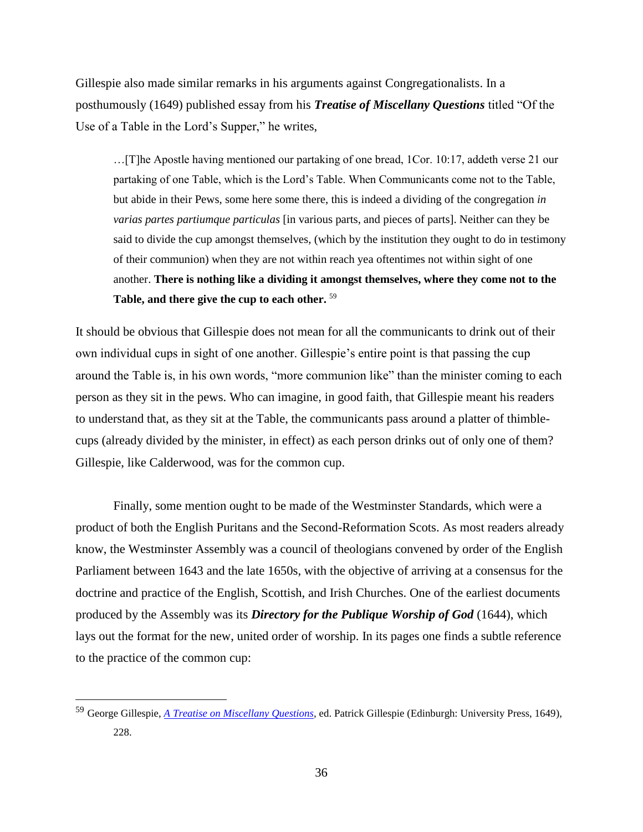Gillespie also made similar remarks in his arguments against Congregationalists. In a posthumously (1649) published essay from his *Treatise of Miscellany Questions* titled "Of the Use of a Table in the Lord's Supper," he writes,

…[T]he Apostle having mentioned our partaking of one bread, 1Cor. 10:17, addeth verse 21 our partaking of one Table, which is the Lord's Table. When Communicants come not to the Table, but abide in their Pews, some here some there, this is indeed a dividing of the congregation *in varias partes partiumque particulas* [in various parts, and pieces of parts]. Neither can they be said to divide the cup amongst themselves, (which by the institution they ought to do in testimony of their communion) when they are not within reach yea oftentimes not within sight of one another. **There is nothing like a dividing it amongst themselves, where they come not to the Table, and there give the cup to each other.** <sup>59</sup>

It should be obvious that Gillespie does not mean for all the communicants to drink out of their own individual cups in sight of one another. Gillespie's entire point is that passing the cup around the Table is, in his own words, "more communion like" than the minister coming to each person as they sit in the pews. Who can imagine, in good faith, that Gillespie meant his readers to understand that, as they sit at the Table, the communicants pass around a platter of thimblecups (already divided by the minister, in effect) as each person drinks out of only one of them? Gillespie, like Calderwood, was for the common cup.

Finally, some mention ought to be made of the Westminster Standards, which were a product of both the English Puritans and the Second-Reformation Scots. As most readers already know, the Westminster Assembly was a council of theologians convened by order of the English Parliament between 1643 and the late 1650s, with the objective of arriving at a consensus for the doctrine and practice of the English, Scottish, and Irish Churches. One of the earliest documents produced by the Assembly was its *Directory for the Publique Worship of God* (1644), which lays out the format for the new, united order of worship. In its pages one finds a subtle reference to the practice of the common cup:

<sup>59</sup> George Gillespie, *[A Treatise on Miscellany Questions](http://books.google.com/books?id=0iY3AAAAMAAJ&printsec=frontcover#v=onepage&q&f=false)*, ed. Patrick Gillespie (Edinburgh: University Press, 1649), 228.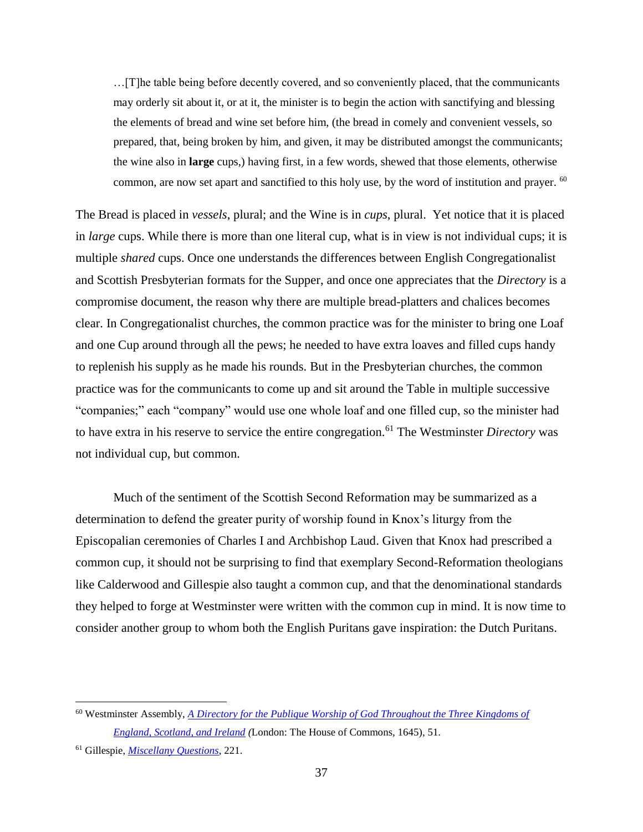…[T]he table being before decently covered, and so conveniently placed, that the communicants may orderly sit about it, or at it, the minister is to begin the action with sanctifying and blessing the elements of bread and wine set before him, (the bread in comely and convenient vessels, so prepared, that, being broken by him, and given, it may be distributed amongst the communicants; the wine also in **large** cups,) having first, in a few words, shewed that those elements, otherwise common, are now set apart and sanctified to this holy use, by the word of institution and prayer. <sup>60</sup>

The Bread is placed in *vessels*, plural; and the Wine is in *cups*, plural. Yet notice that it is placed in *large* cups. While there is more than one literal cup, what is in view is not individual cups; it is multiple *shared* cups. Once one understands the differences between English Congregationalist and Scottish Presbyterian formats for the Supper, and once one appreciates that the *Directory* is a compromise document, the reason why there are multiple bread-platters and chalices becomes clear. In Congregationalist churches, the common practice was for the minister to bring one Loaf and one Cup around through all the pews; he needed to have extra loaves and filled cups handy to replenish his supply as he made his rounds. But in the Presbyterian churches, the common practice was for the communicants to come up and sit around the Table in multiple successive "companies;" each "company" would use one whole loaf and one filled cup, so the minister had to have extra in his reserve to service the entire congregation.<sup>61</sup> The Westminster *Directory* was not individual cup, but common.

Much of the sentiment of the Scottish Second Reformation may be summarized as a determination to defend the greater purity of worship found in Knox's liturgy from the Episcopalian ceremonies of Charles I and Archbishop Laud. Given that Knox had prescribed a common cup, it should not be surprising to find that exemplary Second-Reformation theologians like Calderwood and Gillespie also taught a common cup, and that the denominational standards they helped to forge at Westminster were written with the common cup in mind. It is now time to consider another group to whom both the English Puritans gave inspiration: the Dutch Puritans.

<sup>60</sup> Westminster Assembly, *[A Directory for the Publique Worship of God Throughout the Three Kingdoms of](http://books.google.com/books?id=LOZbAAAAQAAJ&printsec=frontcover#v=onepage&q&f=false)  [England, Scotland, and Ireland](http://books.google.com/books?id=LOZbAAAAQAAJ&printsec=frontcover#v=onepage&q&f=false) (*London: The House of Commons, 1645), 51.

<sup>61</sup> Gillespie, *[Miscellany Questions](http://books.google.com/books?id=0iY3AAAAMAAJ&printsec=frontcover#v=onepage&q&f=false)*, 221.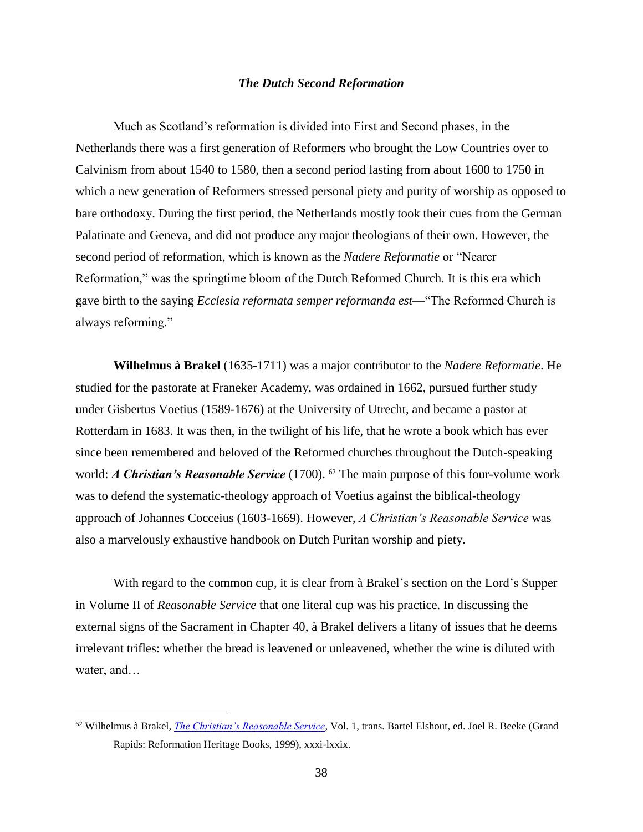#### *The Dutch Second Reformation*

Much as Scotland's reformation is divided into First and Second phases, in the Netherlands there was a first generation of Reformers who brought the Low Countries over to Calvinism from about 1540 to 1580, then a second period lasting from about 1600 to 1750 in which a new generation of Reformers stressed personal piety and purity of worship as opposed to bare orthodoxy. During the first period, the Netherlands mostly took their cues from the German Palatinate and Geneva, and did not produce any major theologians of their own. However, the second period of reformation, which is known as the *Nadere Reformatie* or "Nearer Reformation," was the springtime bloom of the Dutch Reformed Church. It is this era which gave birth to the saying *Ecclesia reformata semper reformanda est*—"The Reformed Church is always reforming."

**Wilhelmus à Brakel** (1635-1711) was a major contributor to the *Nadere Reformatie*. He studied for the pastorate at Franeker Academy, was ordained in 1662, pursued further study under Gisbertus Voetius (1589-1676) at the University of Utrecht, and became a pastor at Rotterdam in 1683. It was then, in the twilight of his life, that he wrote a book which has ever since been remembered and beloved of the Reformed churches throughout the Dutch-speaking world: *A Christian's Reasonable Service* (1700). <sup>62</sup> The main purpose of this four-volume work was to defend the systematic-theology approach of Voetius against the biblical-theology approach of Johannes Cocceius (1603-1669). However, *A Christian's Reasonable Service* was also a marvelously exhaustive handbook on Dutch Puritan worship and piety.

With regard to the common cup, it is clear from à Brakel's section on the Lord's Supper in Volume II of *Reasonable Service* that one literal cup was his practice. In discussing the external signs of the Sacrament in Chapter 40, à Brakel delivers a litany of issues that he deems irrelevant trifles: whether the bread is leavened or unleavened, whether the wine is diluted with water, and…

<sup>62</sup> Wilhelmus à Brakel, *[The Christian's Reasonable Service](http://biblicalspirituality.files.wordpress.com/2010/03/reasonableservicevol1.pdf)*, Vol. 1, trans. Bartel Elshout, ed. Joel R. Beeke (Grand Rapids: Reformation Heritage Books, 1999), xxxi-lxxix.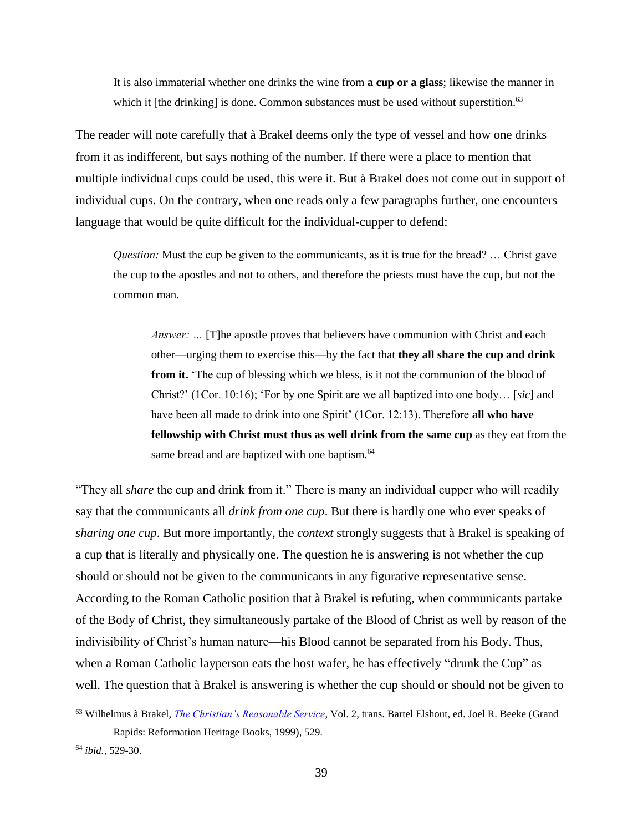It is also immaterial whether one drinks the wine from **a cup or a glass**; likewise the manner in which it [the drinking] is done. Common substances must be used without superstition.<sup>63</sup>

The reader will note carefully that à Brakel deems only the type of vessel and how one drinks from it as indifferent, but says nothing of the number. If there were a place to mention that multiple individual cups could be used, this were it. But à Brakel does not come out in support of individual cups. On the contrary, when one reads only a few paragraphs further, one encounters language that would be quite difficult for the individual-cupper to defend:

*Question:* Must the cup be given to the communicants, as it is true for the bread? … Christ gave the cup to the apostles and not to others, and therefore the priests must have the cup, but not the common man.

*Answer:* ... [T]he apostle proves that believers have communion with Christ and each other—urging them to exercise this—by the fact that **they all share the cup and drink from it.** 'The cup of blessing which we bless, is it not the communion of the blood of Christ?' (1Cor. 10:16); 'For by one Spirit are we all baptized into one body… [*sic*] and have been all made to drink into one Spirit' (1Cor. 12:13). Therefore **all who have fellowship with Christ must thus as well drink from the same cup** as they eat from the same bread and are baptized with one baptism.<sup>64</sup>

"They all *share* the cup and drink from it." There is many an individual cupper who will readily say that the communicants all *drink from one cup*. But there is hardly one who ever speaks of *sharing one cup*. But more importantly, the *context* strongly suggests that à Brakel is speaking of a cup that is literally and physically one. The question he is answering is not whether the cup should or should not be given to the communicants in any figurative representative sense. According to the Roman Catholic position that à Brakel is refuting, when communicants partake of the Body of Christ, they simultaneously partake of the Blood of Christ as well by reason of the indivisibility of Christ's human nature—his Blood cannot be separated from his Body. Thus, when a Roman Catholic layperson eats the host wafer, he has effectively "drunk the Cup" as well. The question that à Brakel is answering is whether the cup should or should not be given to

<sup>63</sup> Wilhelmus à Brakel, *[The Christian's Reasonable Service](http://biblicalspirituality.files.wordpress.com/2010/03/reasonableservicevol2-indexed.pdf)*, Vol. 2, trans. Bartel Elshout, ed. Joel R. Beeke (Grand Rapids: Reformation Heritage Books, 1999), 529.

<sup>64</sup> *ibid.*, 529-30.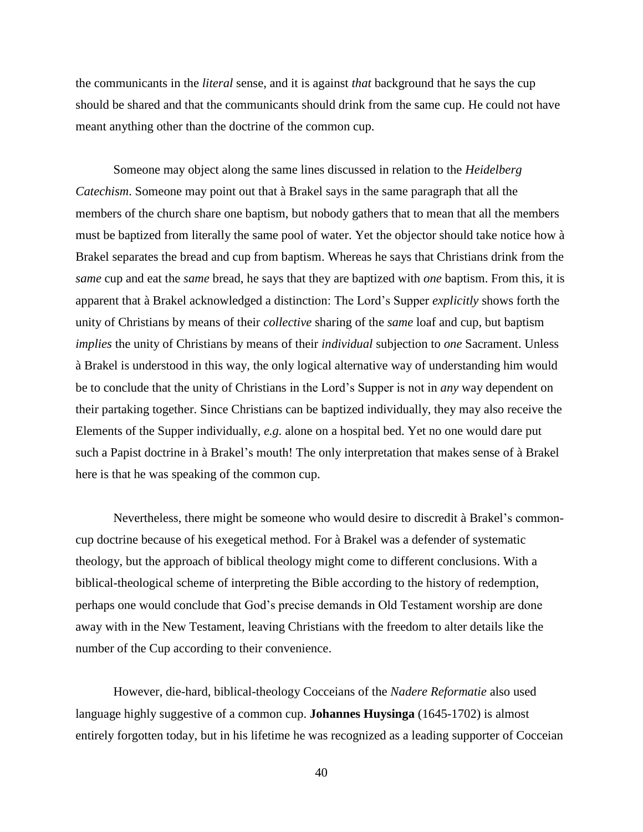the communicants in the *literal* sense, and it is against *that* background that he says the cup should be shared and that the communicants should drink from the same cup. He could not have meant anything other than the doctrine of the common cup.

Someone may object along the same lines discussed in relation to the *Heidelberg Catechism*. Someone may point out that à Brakel says in the same paragraph that all the members of the church share one baptism, but nobody gathers that to mean that all the members must be baptized from literally the same pool of water. Yet the objector should take notice how à Brakel separates the bread and cup from baptism. Whereas he says that Christians drink from the *same* cup and eat the *same* bread, he says that they are baptized with *one* baptism. From this, it is apparent that à Brakel acknowledged a distinction: The Lord's Supper *explicitly* shows forth the unity of Christians by means of their *collective* sharing of the *same* loaf and cup, but baptism *implies* the unity of Christians by means of their *individual* subjection to *one* Sacrament. Unless à Brakel is understood in this way, the only logical alternative way of understanding him would be to conclude that the unity of Christians in the Lord's Supper is not in *any* way dependent on their partaking together. Since Christians can be baptized individually, they may also receive the Elements of the Supper individually, *e.g.* alone on a hospital bed. Yet no one would dare put such a Papist doctrine in à Brakel's mouth! The only interpretation that makes sense of à Brakel here is that he was speaking of the common cup.

Nevertheless, there might be someone who would desire to discredit à Brakel's commoncup doctrine because of his exegetical method. For à Brakel was a defender of systematic theology, but the approach of biblical theology might come to different conclusions. With a biblical-theological scheme of interpreting the Bible according to the history of redemption, perhaps one would conclude that God's precise demands in Old Testament worship are done away with in the New Testament, leaving Christians with the freedom to alter details like the number of the Cup according to their convenience.

However, die-hard, biblical-theology Cocceians of the *Nadere Reformatie* also used language highly suggestive of a common cup. **Johannes Huysinga** (1645-1702) is almost entirely forgotten today, but in his lifetime he was recognized as a leading supporter of Cocceian

40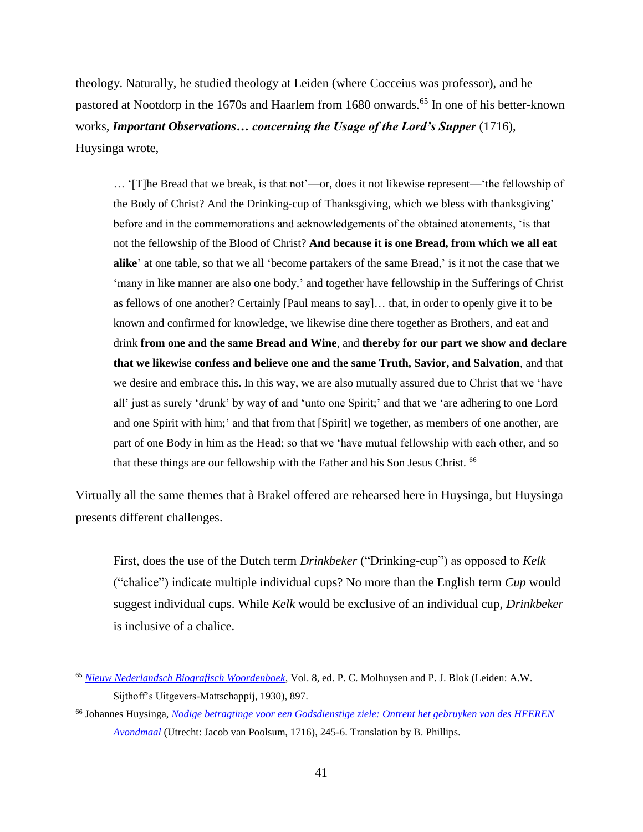theology. Naturally, he studied theology at Leiden (where Cocceius was professor), and he pastored at Nootdorp in the 1670s and Haarlem from 1680 onwards.<sup>65</sup> In one of his better-known works, *Important Observations… concerning the Usage of the Lord's Supper* (1716), Huysinga wrote,

… '[T]he Bread that we break, is that not'—or, does it not likewise represent—'the fellowship of the Body of Christ? And the Drinking-cup of Thanksgiving, which we bless with thanksgiving' before and in the commemorations and acknowledgements of the obtained atonements, 'is that not the fellowship of the Blood of Christ? **And because it is one Bread, from which we all eat alike**' at one table, so that we all 'become partakers of the same Bread,' is it not the case that we 'many in like manner are also one body,' and together have fellowship in the Sufferings of Christ as fellows of one another? Certainly [Paul means to say]… that, in order to openly give it to be known and confirmed for knowledge, we likewise dine there together as Brothers, and eat and drink **from one and the same Bread and Wine**, and **thereby for our part we show and declare that we likewise confess and believe one and the same Truth, Savior, and Salvation**, and that we desire and embrace this. In this way, we are also mutually assured due to Christ that we 'have all' just as surely 'drunk' by way of and 'unto one Spirit;' and that we 'are adhering to one Lord and one Spirit with him;' and that from that [Spirit] we together, as members of one another, are part of one Body in him as the Head; so that we 'have mutual fellowship with each other, and so that these things are our fellowship with the Father and his Son Jesus Christ. <sup>66</sup>

Virtually all the same themes that à Brakel offered are rehearsed here in Huysinga, but Huysinga presents different challenges.

First, does the use of the Dutch term *Drinkbeker* ("Drinking-cup") as opposed to *Kelk* ("chalice") indicate multiple individual cups? No more than the English term *Cup* would suggest individual cups. While *Kelk* would be exclusive of an individual cup, *Drinkbeker* is inclusive of a chalice.

<sup>65</sup> *[Nieuw Nederlandsch Biografisch Woordenboek](http://resources.huygens.knaw.nl/retroboeken/nnbw/#source=8&page=456&view=imagePane)*, Vol. 8, ed. P. C. Molhuysen and P. J. Blok (Leiden: A.W. Sijthoff's Uitgevers-Mattschappij, 1930), 897.

<sup>66</sup> Johannes Huysinga, *[Nodige betragtinge voor een Godsdienstige ziele: Ontrent het gebruyken van des HEEREN](http://books.google.com/books?id=ALlaAAAAcAAJ&printsec=frontcover#v=onepage&q&f=false)  [Avondmaal](http://books.google.com/books?id=ALlaAAAAcAAJ&printsec=frontcover#v=onepage&q&f=false)* (Utrecht: Jacob van Poolsum, 1716), 245-6. Translation by B. Phillips.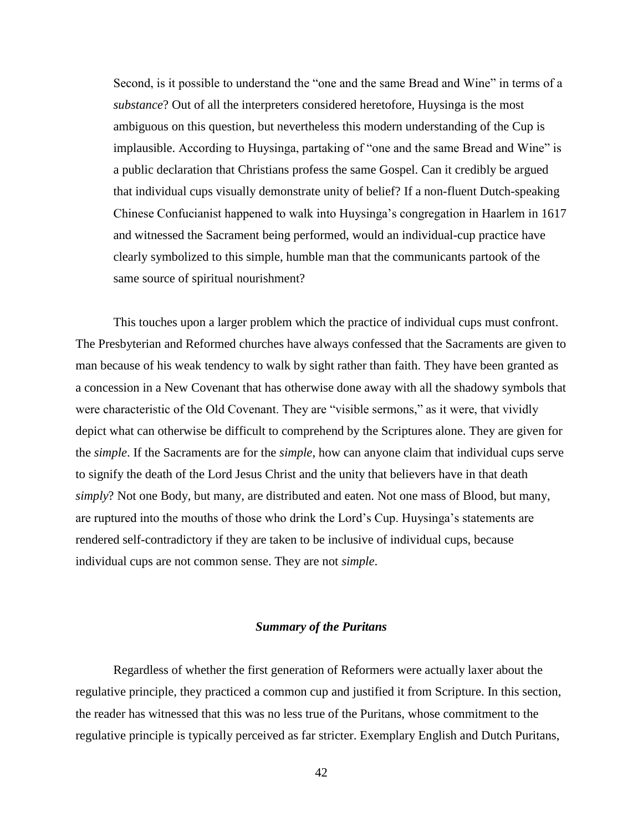Second, is it possible to understand the "one and the same Bread and Wine" in terms of a *substance*? Out of all the interpreters considered heretofore, Huysinga is the most ambiguous on this question, but nevertheless this modern understanding of the Cup is implausible. According to Huysinga, partaking of "one and the same Bread and Wine" is a public declaration that Christians profess the same Gospel. Can it credibly be argued that individual cups visually demonstrate unity of belief? If a non-fluent Dutch-speaking Chinese Confucianist happened to walk into Huysinga's congregation in Haarlem in 1617 and witnessed the Sacrament being performed, would an individual-cup practice have clearly symbolized to this simple, humble man that the communicants partook of the same source of spiritual nourishment?

This touches upon a larger problem which the practice of individual cups must confront. The Presbyterian and Reformed churches have always confessed that the Sacraments are given to man because of his weak tendency to walk by sight rather than faith. They have been granted as a concession in a New Covenant that has otherwise done away with all the shadowy symbols that were characteristic of the Old Covenant. They are "visible sermons," as it were, that vividly depict what can otherwise be difficult to comprehend by the Scriptures alone. They are given for the *simple*. If the Sacraments are for the *simple*, how can anyone claim that individual cups serve to signify the death of the Lord Jesus Christ and the unity that believers have in that death *simply*? Not one Body, but many, are distributed and eaten. Not one mass of Blood, but many, are ruptured into the mouths of those who drink the Lord's Cup. Huysinga's statements are rendered self-contradictory if they are taken to be inclusive of individual cups, because individual cups are not common sense. They are not *simple*.

#### *Summary of the Puritans*

Regardless of whether the first generation of Reformers were actually laxer about the regulative principle, they practiced a common cup and justified it from Scripture. In this section, the reader has witnessed that this was no less true of the Puritans, whose commitment to the regulative principle is typically perceived as far stricter. Exemplary English and Dutch Puritans,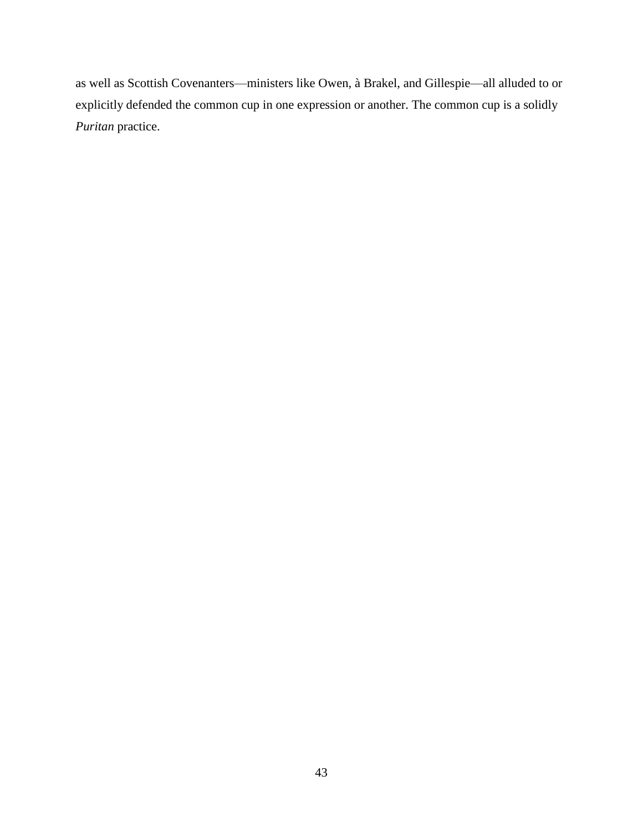as well as Scottish Covenanters—ministers like Owen, à Brakel, and Gillespie—all alluded to or explicitly defended the common cup in one expression or another. The common cup is a solidly *Puritan* practice.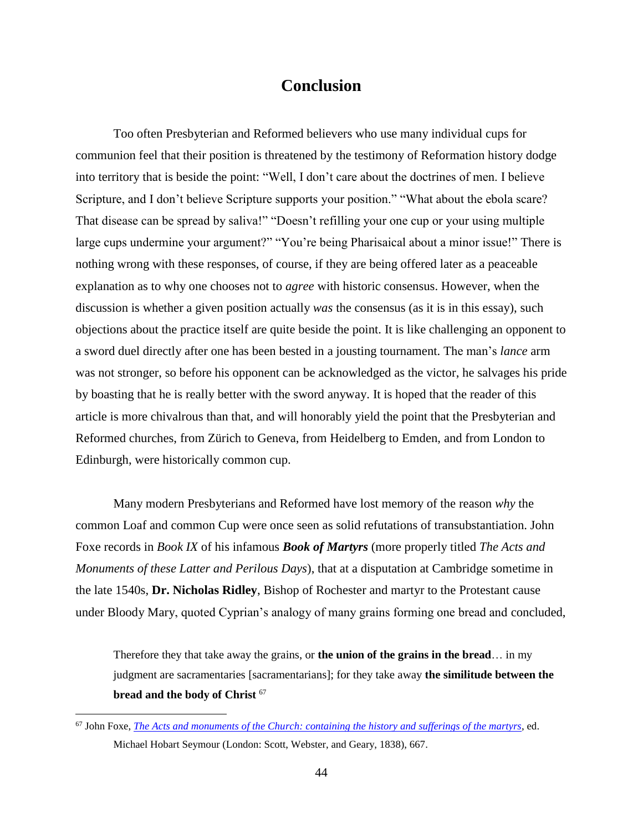### **Conclusion**

Too often Presbyterian and Reformed believers who use many individual cups for communion feel that their position is threatened by the testimony of Reformation history dodge into territory that is beside the point: "Well, I don't care about the doctrines of men. I believe Scripture, and I don't believe Scripture supports your position." "What about the ebola scare? That disease can be spread by saliva!" "Doesn't refilling your one cup or your using multiple large cups undermine your argument?" "You're being Pharisaical about a minor issue!" There is nothing wrong with these responses, of course, if they are being offered later as a peaceable explanation as to why one chooses not to *agree* with historic consensus. However, when the discussion is whether a given position actually *was* the consensus (as it is in this essay), such objections about the practice itself are quite beside the point. It is like challenging an opponent to a sword duel directly after one has been bested in a jousting tournament. The man's *lance* arm was not stronger, so before his opponent can be acknowledged as the victor, he salvages his pride by boasting that he is really better with the sword anyway. It is hoped that the reader of this article is more chivalrous than that, and will honorably yield the point that the Presbyterian and Reformed churches, from Zürich to Geneva, from Heidelberg to Emden, and from London to Edinburgh, were historically common cup.

Many modern Presbyterians and Reformed have lost memory of the reason *why* the common Loaf and common Cup were once seen as solid refutations of transubstantiation. John Foxe records in *Book IX* of his infamous *Book of Martyrs* (more properly titled *The Acts and Monuments of these Latter and Perilous Days*), that at a disputation at Cambridge sometime in the late 1540s, **Dr. Nicholas Ridley**, Bishop of Rochester and martyr to the Protestant cause under Bloody Mary, quoted Cyprian's analogy of many grains forming one bread and concluded,

Therefore they that take away the grains, or **the union of the grains in the bread**… in my judgment are sacramentaries [sacramentarians]; for they take away **the similitude between the bread and the body of Christ** <sup>67</sup>

<sup>67</sup> John Foxe, *[The Acts and monuments of the Church: containing the history and sufferings of the martyrs](http://books.google.com/books?id=OnAEAAAAQAAJ&printsec=frontcover&source=gbs_ge_summary_r&cad=0#v=onepage&q&f=false)*, ed. Michael Hobart Seymour (London: Scott, Webster, and Geary, 1838), 667.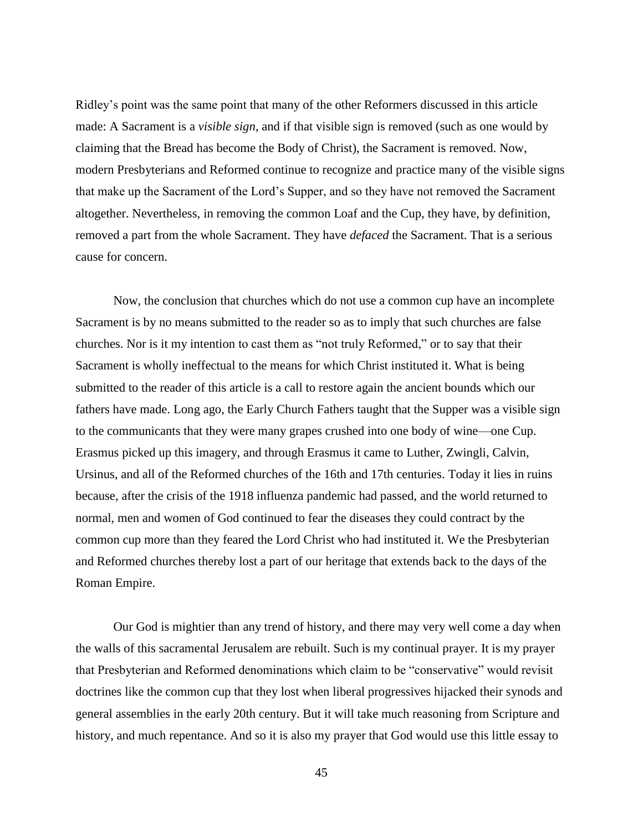Ridley's point was the same point that many of the other Reformers discussed in this article made: A Sacrament is a *visible sign*, and if that visible sign is removed (such as one would by claiming that the Bread has become the Body of Christ), the Sacrament is removed. Now, modern Presbyterians and Reformed continue to recognize and practice many of the visible signs that make up the Sacrament of the Lord's Supper, and so they have not removed the Sacrament altogether. Nevertheless, in removing the common Loaf and the Cup, they have, by definition, removed a part from the whole Sacrament. They have *defaced* the Sacrament. That is a serious cause for concern.

Now, the conclusion that churches which do not use a common cup have an incomplete Sacrament is by no means submitted to the reader so as to imply that such churches are false churches. Nor is it my intention to cast them as "not truly Reformed," or to say that their Sacrament is wholly ineffectual to the means for which Christ instituted it. What is being submitted to the reader of this article is a call to restore again the ancient bounds which our fathers have made. Long ago, the Early Church Fathers taught that the Supper was a visible sign to the communicants that they were many grapes crushed into one body of wine—one Cup. Erasmus picked up this imagery, and through Erasmus it came to Luther, Zwingli, Calvin, Ursinus, and all of the Reformed churches of the 16th and 17th centuries. Today it lies in ruins because, after the crisis of the 1918 influenza pandemic had passed, and the world returned to normal, men and women of God continued to fear the diseases they could contract by the common cup more than they feared the Lord Christ who had instituted it. We the Presbyterian and Reformed churches thereby lost a part of our heritage that extends back to the days of the Roman Empire.

Our God is mightier than any trend of history, and there may very well come a day when the walls of this sacramental Jerusalem are rebuilt. Such is my continual prayer. It is my prayer that Presbyterian and Reformed denominations which claim to be "conservative" would revisit doctrines like the common cup that they lost when liberal progressives hijacked their synods and general assemblies in the early 20th century. But it will take much reasoning from Scripture and history, and much repentance. And so it is also my prayer that God would use this little essay to

45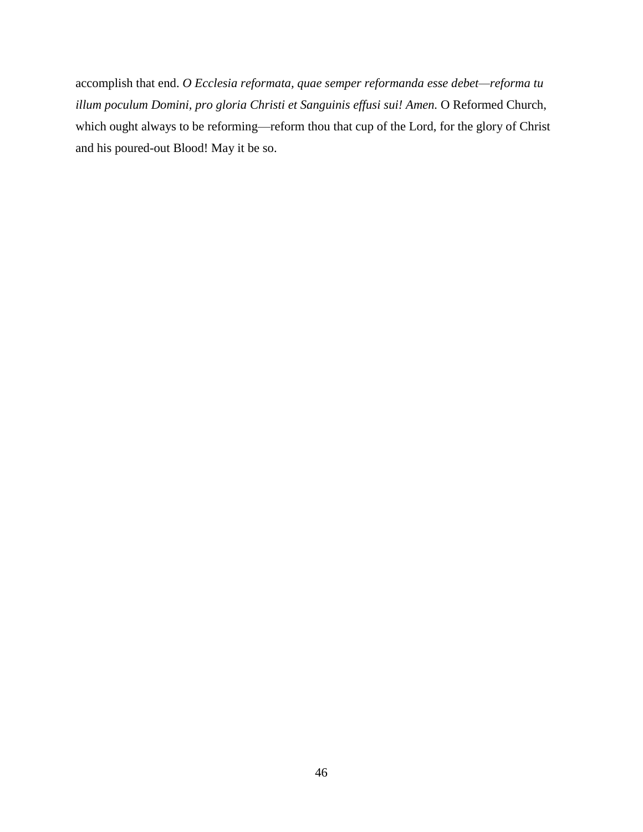accomplish that end. *O Ecclesia reformata, quae semper reformanda esse debet—reforma tu illum poculum Domini, pro gloria Christi et Sanguinis effusi sui! Amen.* O Reformed Church, which ought always to be reforming—reform thou that cup of the Lord, for the glory of Christ and his poured-out Blood! May it be so.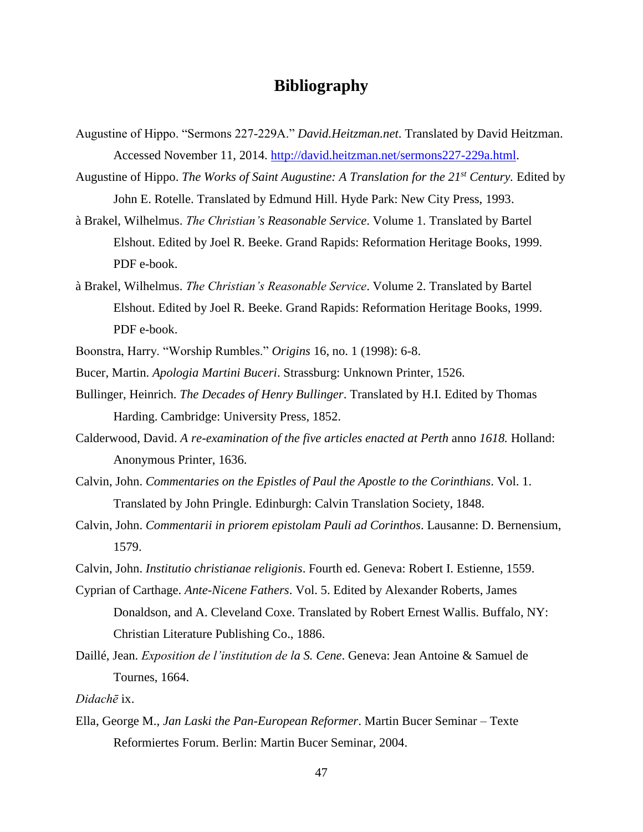## **Bibliography**

- Augustine of Hippo. "Sermons 227-229A." *David.Heitzman.net*. Translated by David Heitzman. Accessed November 11, 2014. [http://david.heitzman.net/sermons227-229a.html.](http://david.heitzman.net/sermons227-229a.html)
- Augustine of Hippo. *The Works of Saint Augustine: A Translation for the 21st Century.* Edited by John E. Rotelle. Translated by Edmund Hill. Hyde Park: New City Press, 1993.
- à Brakel, Wilhelmus. *The Christian's Reasonable Service*. Volume 1. Translated by Bartel Elshout. Edited by Joel R. Beeke. Grand Rapids: Reformation Heritage Books, 1999. PDF e-book.
- à Brakel, Wilhelmus. *The Christian's Reasonable Service*. Volume 2. Translated by Bartel Elshout. Edited by Joel R. Beeke. Grand Rapids: Reformation Heritage Books, 1999. PDF e-book.
- Boonstra, Harry. "Worship Rumbles." *Origins* 16, no. 1 (1998): 6-8.
- Bucer, Martin. *Apologia Martini Buceri*. Strassburg: Unknown Printer, 1526.
- Bullinger, Heinrich. *The Decades of Henry Bullinger*. Translated by H.I. Edited by Thomas Harding. Cambridge: University Press, 1852.
- Calderwood, David. *A re-examination of the five articles enacted at Perth* anno *1618.* Holland: Anonymous Printer, 1636.
- Calvin, John. *Commentaries on the Epistles of Paul the Apostle to the Corinthians*. Vol. 1. Translated by John Pringle. Edinburgh: Calvin Translation Society, 1848.
- Calvin, John. *Commentarii in priorem epistolam Pauli ad Corinthos*. Lausanne: D. Bernensium, 1579.
- Calvin, John. *Institutio christianae religionis*. Fourth ed. Geneva: Robert I. Estienne, 1559.
- Cyprian of Carthage. *Ante-Nicene Fathers*. Vol. 5. Edited by Alexander Roberts, James Donaldson, and A. Cleveland Coxe. Translated by Robert Ernest Wallis. Buffalo, NY: Christian Literature Publishing Co., 1886.
- Daillé, Jean. *Exposition de l'institution de la S. Cene*. Geneva: Jean Antoine & Samuel de Tournes, 1664.

*Didachē* ix.

Ella, George M., *Jan Laski the Pan-European Reformer*. Martin Bucer Seminar – Texte Reformiertes Forum. Berlin: Martin Bucer Seminar, 2004.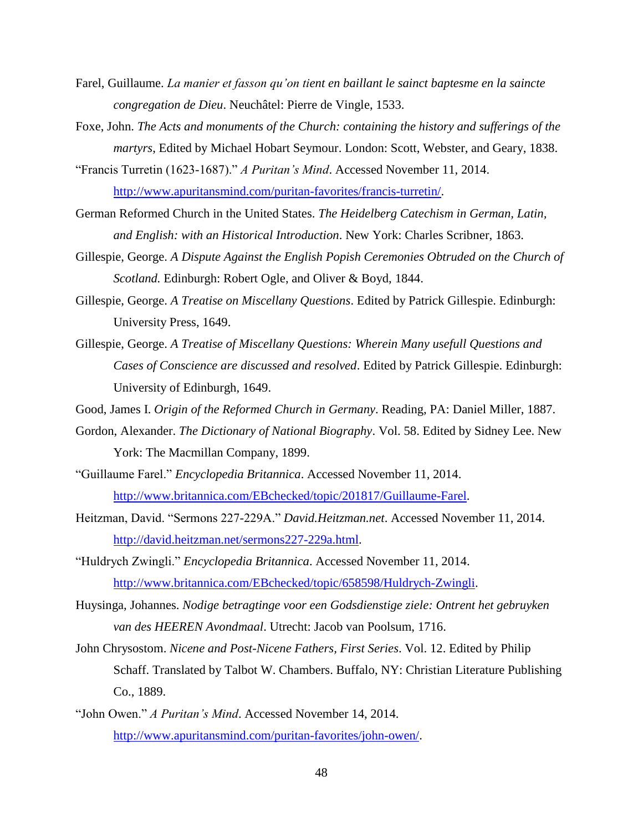- Farel, Guillaume. *La manier et fasson qu'on tient en baillant le sainct baptesme en la saincte congregation de Dieu*. Neuchâtel: Pierre de Vingle, 1533.
- Foxe, John. *The Acts and monuments of the Church: containing the history and sufferings of the martyrs*, Edited by Michael Hobart Seymour. London: Scott, Webster, and Geary, 1838.
- "Francis Turretin (1623-1687)." *A Puritan's Mind*. Accessed November 11, 2014. [http://www.apuritansmind.com/puritan-favorites/francis-turretin/.](http://www.apuritansmind.com/puritan-favorites/francis-turretin/)
- German Reformed Church in the United States. *The Heidelberg Catechism in German, Latin, and English: with an Historical Introduction*. New York: Charles Scribner, 1863.
- Gillespie, George. *A Dispute Against the English Popish Ceremonies Obtruded on the Church of Scotland.* Edinburgh: Robert Ogle, and Oliver & Boyd, 1844.
- Gillespie, George. *A Treatise on Miscellany Questions*. Edited by Patrick Gillespie. Edinburgh: University Press, 1649.
- Gillespie, George. *A Treatise of Miscellany Questions: Wherein Many usefull Questions and Cases of Conscience are discussed and resolved*. Edited by Patrick Gillespie. Edinburgh: University of Edinburgh, 1649.
- Good, James I. *Origin of the Reformed Church in Germany*. Reading, PA: Daniel Miller, 1887.
- Gordon, Alexander. *The Dictionary of National Biography*. Vol. 58. Edited by Sidney Lee. New York: The Macmillan Company, 1899.
- "Guillaume Farel." *Encyclopedia Britannica*. Accessed November 11, 2014. [http://www.britannica.com/EBchecked/topic/201817/Guillaume-Farel.](http://www.britannica.com/EBchecked/topic/201817/Guillaume-Farel)
- Heitzman, David. "Sermons 227-229A." *David.Heitzman.net*. Accessed November 11, 2014. [http://david.heitzman.net/sermons227-229a.html.](http://david.heitzman.net/sermons227-229a.html)
- "Huldrych Zwingli." *Encyclopedia Britannica*. Accessed November 11, 2014. [http://www.britannica.com/EBchecked/topic/658598/Huldrych-Zwingli.](http://www.britannica.com/EBchecked/topic/658598/Huldrych-Zwingli)
- Huysinga, Johannes. *Nodige betragtinge voor een Godsdienstige ziele: Ontrent het gebruyken van des HEEREN Avondmaal*. Utrecht: Jacob van Poolsum, 1716.
- John Chrysostom. *Nicene and Post-Nicene Fathers, First Series*. Vol. 12. Edited by Philip Schaff. Translated by Talbot W. Chambers. Buffalo, NY: Christian Literature Publishing Co., 1889.
- "John Owen." *A Puritan's Mind*. Accessed November 14, 2014. [http://www.apuritansmind.com/puritan-favorites/john-owen/.](http://www.apuritansmind.com/puritan-favorites/john-owen/)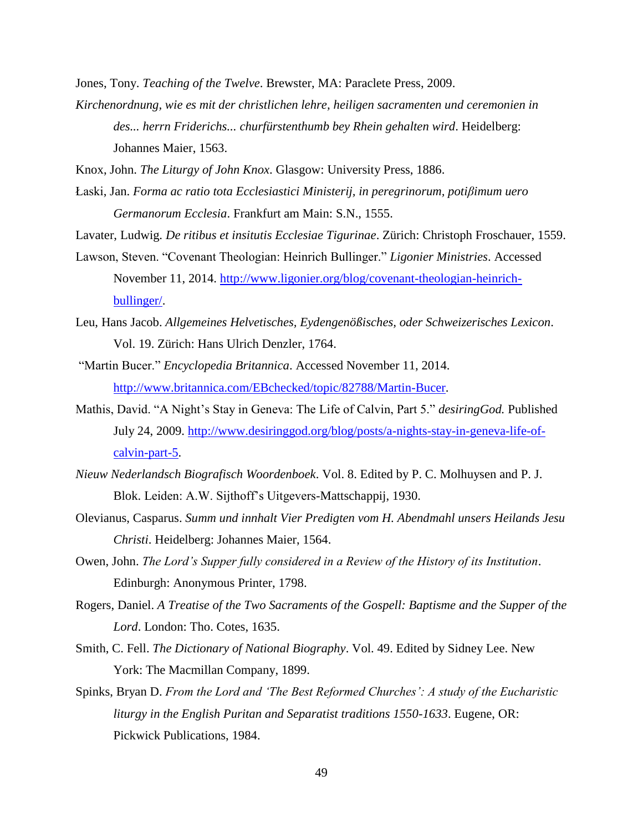Jones, Tony. *Teaching of the Twelve*. Brewster, MA: Paraclete Press, 2009.

*Kirchenordnung, wie es mit der christlichen lehre, heiligen sacramenten und ceremonien in des... herrn Friderichs... churfürstenthumb bey Rhein gehalten wird*. Heidelberg: Johannes Maier, 1563.

Knox, John. *The Liturgy of John Knox*. Glasgow: University Press, 1886.

- Łaski, Jan. *Forma ac ratio tota Ecclesiastici Ministerij, in peregrinorum, potiβimum uero Germanorum Ecclesia*. Frankfurt am Main: S.N., 1555.
- Lavater, Ludwig. *De ritibus et insitutis Ecclesiae Tigurinae*. Zürich: Christoph Froschauer, 1559.
- Lawson, Steven. "Covenant Theologian: Heinrich Bullinger." *Ligonier Ministries*. Accessed November 11, 2014. [http://www.ligonier.org/blog/covenant-theologian-heinrich](http://www.ligonier.org/blog/covenant-theologian-heinrich-bullinger/)[bullinger/.](http://www.ligonier.org/blog/covenant-theologian-heinrich-bullinger/)
- Leu, Hans Jacob. *Allgemeines Helvetisches, Eydengenößisches, oder Schweizerisches Lexicon*. Vol. 19. Zürich: Hans Ulrich Denzler, 1764.
- "Martin Bucer." *Encyclopedia Britannica*. Accessed November 11, 2014. [http://www.britannica.com/EBchecked/topic/82788/Martin-Bucer.](http://www.britannica.com/EBchecked/topic/82788/Martin-Bucer)
- Mathis, David. "A Night's Stay in Geneva: The Life of Calvin, Part 5." *desiringGod.* Published July 24, 2009. [http://www.desiringgod.org/blog/posts/a-nights-stay-in-geneva-life-of](http://www.desiringgod.org/blog/posts/a-nights-stay-in-geneva-life-of-calvin-part-5)[calvin-part-5.](http://www.desiringgod.org/blog/posts/a-nights-stay-in-geneva-life-of-calvin-part-5)
- *Nieuw Nederlandsch Biografisch Woordenboek*. Vol. 8. Edited by P. C. Molhuysen and P. J. Blok. Leiden: A.W. Sijthoff's Uitgevers-Mattschappij, 1930.
- Olevianus, Casparus. *Summ und innhalt Vier Predigten vom H. Abendmahl unsers Heilands Jesu Christi*. Heidelberg: Johannes Maier, 1564.
- Owen, John. *The Lord's Supper fully considered in a Review of the History of its Institution*. Edinburgh: Anonymous Printer, 1798.
- Rogers, Daniel. *A Treatise of the Two Sacraments of the Gospell: Baptisme and the Supper of the Lord*. London: Tho. Cotes, 1635.
- Smith, C. Fell. *The Dictionary of National Biography*. Vol. 49. Edited by Sidney Lee. New York: The Macmillan Company, 1899.
- Spinks, Bryan D. *From the Lord and 'The Best Reformed Churches': A study of the Eucharistic liturgy in the English Puritan and Separatist traditions 1550-1633*. Eugene, OR: Pickwick Publications, 1984.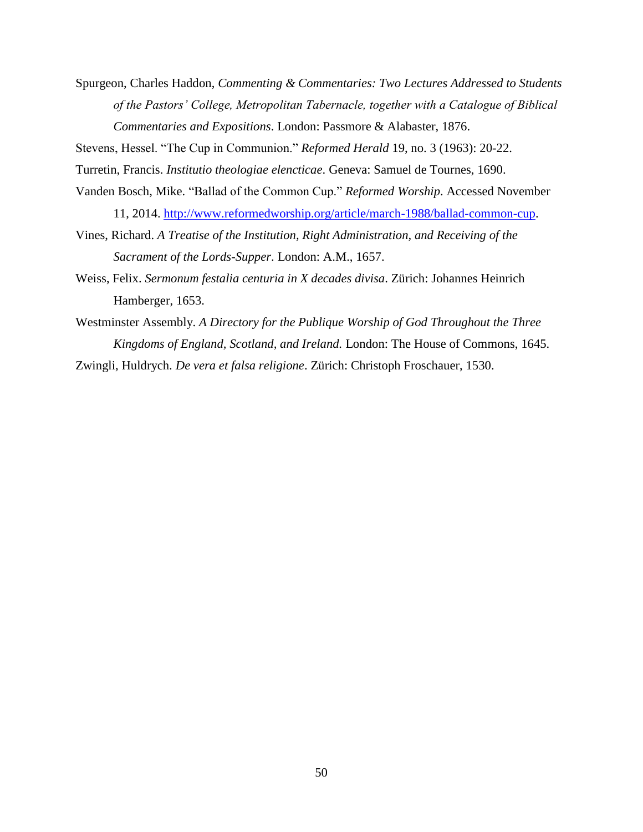Spurgeon, Charles Haddon, *Commenting & Commentaries: Two Lectures Addressed to Students of the Pastors' College, Metropolitan Tabernacle, together with a Catalogue of Biblical Commentaries and Expositions*. London: Passmore & Alabaster, 1876.

Stevens, Hessel. "The Cup in Communion." *Reformed Herald* 19, no. 3 (1963): 20-22.

Turretin, Francis. *Institutio theologiae elencticae*. Geneva: Samuel de Tournes, 1690.

- Vanden Bosch, Mike. "Ballad of the Common Cup." *Reformed Worship*. Accessed November 11, 2014. [http://www.reformedworship.org/article/march-1988/ballad-common-cup.](http://www.reformedworship.org/article/march-1988/ballad-common-cup)
- Vines, Richard. *A Treatise of the Institution, Right Administration, and Receiving of the Sacrament of the Lords-Supper*. London: A.M., 1657.
- Weiss, Felix. *Sermonum festalia centuria in X decades divisa*. Zürich: Johannes Heinrich Hamberger, 1653.
- Westminster Assembly. *A Directory for the Publique Worship of God Throughout the Three Kingdoms of England, Scotland, and Ireland.* London: The House of Commons, 1645.

Zwingli, Huldrych. *De vera et falsa religione*. Zürich: Christoph Froschauer, 1530.